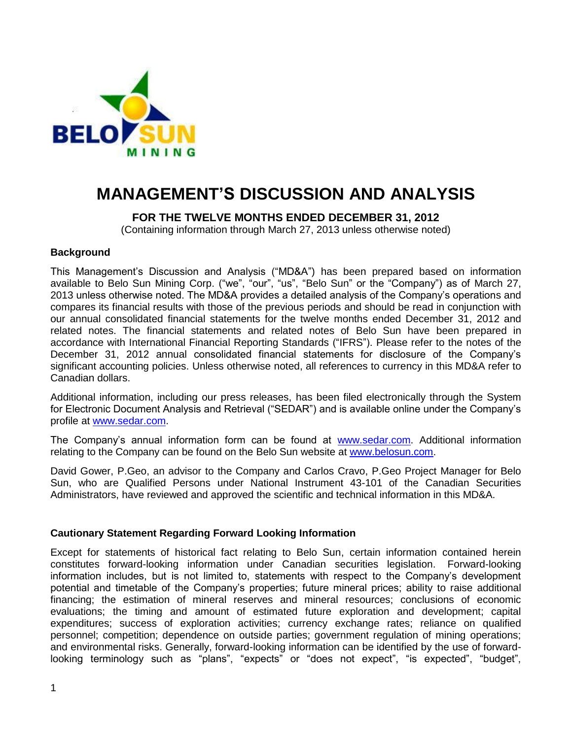

# **MANAGEMENT'S DISCUSSION AND ANALYSIS**

# **FOR THE TWELVE MONTHS ENDED DECEMBER 31, 2012**

(Containing information through March 27, 2013 unless otherwise noted)

# **Background**

This Management's Discussion and Analysis ("MD&A") has been prepared based on information available to Belo Sun Mining Corp. ("we", "our", "us", "Belo Sun" or the "Company") as of March 27, 2013 unless otherwise noted. The MD&A provides a detailed analysis of the Company's operations and compares its financial results with those of the previous periods and should be read in conjunction with our annual consolidated financial statements for the twelve months ended December 31, 2012 and related notes. The financial statements and related notes of Belo Sun have been prepared in accordance with International Financial Reporting Standards ("IFRS"). Please refer to the notes of the December 31, 2012 annual consolidated financial statements for disclosure of the Company's significant accounting policies. Unless otherwise noted, all references to currency in this MD&A refer to Canadian dollars.

Additional information, including our press releases, has been filed electronically through the System for Electronic Document Analysis and Retrieval ("SEDAR") and is available online under the Company's profile at [www.sedar.com.](http://www.sedar.com/)

The Company's annual information form can be found at [www.sedar.com.](http://www.sedar.com/) Additional information relating to the Company can be found on the Belo Sun website at [www.belosun.com.](http://www.belosun.com/)

David Gower, P.Geo, an advisor to the Company and Carlos Cravo, P.Geo Project Manager for Belo Sun, who are Qualified Persons under National Instrument 43-101 of the Canadian Securities Administrators, have reviewed and approved the scientific and technical information in this MD&A.

# **Cautionary Statement Regarding Forward Looking Information**

Except for statements of historical fact relating to Belo Sun, certain information contained herein constitutes forward-looking information under Canadian securities legislation. Forward-looking information includes, but is not limited to, statements with respect to the Company's development potential and timetable of the Company's properties; future mineral prices; ability to raise additional financing; the estimation of mineral reserves and mineral resources; conclusions of economic evaluations; the timing and amount of estimated future exploration and development; capital expenditures; success of exploration activities; currency exchange rates; reliance on qualified personnel; competition; dependence on outside parties; government regulation of mining operations; and environmental risks. Generally, forward-looking information can be identified by the use of forwardlooking terminology such as "plans", "expects" or "does not expect", "is expected", "budget",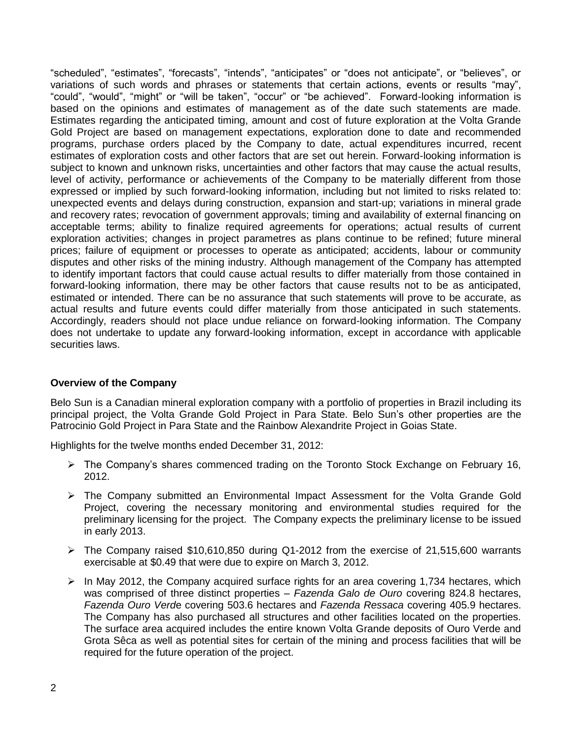"scheduled", "estimates", "forecasts", "intends", "anticipates" or "does not anticipate", or "believes", or variations of such words and phrases or statements that certain actions, events or results "may", "could", "would", "might" or "will be taken", "occur" or "be achieved". Forward-looking information is based on the opinions and estimates of management as of the date such statements are made. Estimates regarding the anticipated timing, amount and cost of future exploration at the Volta Grande Gold Project are based on management expectations, exploration done to date and recommended programs, purchase orders placed by the Company to date, actual expenditures incurred, recent estimates of exploration costs and other factors that are set out herein. Forward-looking information is subject to known and unknown risks, uncertainties and other factors that may cause the actual results, level of activity, performance or achievements of the Company to be materially different from those expressed or implied by such forward-looking information, including but not limited to risks related to: unexpected events and delays during construction, expansion and start-up; variations in mineral grade and recovery rates; revocation of government approvals; timing and availability of external financing on acceptable terms; ability to finalize required agreements for operations; actual results of current exploration activities; changes in project parametres as plans continue to be refined; future mineral prices; failure of equipment or processes to operate as anticipated; accidents, labour or community disputes and other risks of the mining industry. Although management of the Company has attempted to identify important factors that could cause actual results to differ materially from those contained in forward-looking information, there may be other factors that cause results not to be as anticipated, estimated or intended. There can be no assurance that such statements will prove to be accurate, as actual results and future events could differ materially from those anticipated in such statements. Accordingly, readers should not place undue reliance on forward-looking information. The Company does not undertake to update any forward-looking information, except in accordance with applicable securities laws.

# **Overview of the Company**

Belo Sun is a Canadian mineral exploration company with a portfolio of properties in Brazil including its principal project, the Volta Grande Gold Project in Para State. Belo Sun's other properties are the Patrocinio Gold Project in Para State and the Rainbow Alexandrite Project in Goias State.

Highlights for the twelve months ended December 31, 2012:

- $\triangleright$  The Company's shares commenced trading on the Toronto Stock Exchange on February 16, 2012.
- The Company submitted an Environmental Impact Assessment for the Volta Grande Gold Project, covering the necessary monitoring and environmental studies required for the preliminary licensing for the project. The Company expects the preliminary license to be issued in early 2013.
- $\triangleright$  The Company raised \$10,610,850 during Q1-2012 from the exercise of 21,515,600 warrants exercisable at \$0.49 that were due to expire on March 3, 2012.
- $\triangleright$  In May 2012, the Company acquired surface rights for an area covering 1,734 hectares, which was comprised of three distinct properties – *Fazenda Galo de Ouro* covering 824.8 hectares, *Fazenda Ouro Verd*e covering 503.6 hectares and *Fazenda Ressaca* covering 405.9 hectares. The Company has also purchased all structures and other facilities located on the properties. The surface area acquired includes the entire known Volta Grande deposits of Ouro Verde and Grota Sêca as well as potential sites for certain of the mining and process facilities that will be required for the future operation of the project.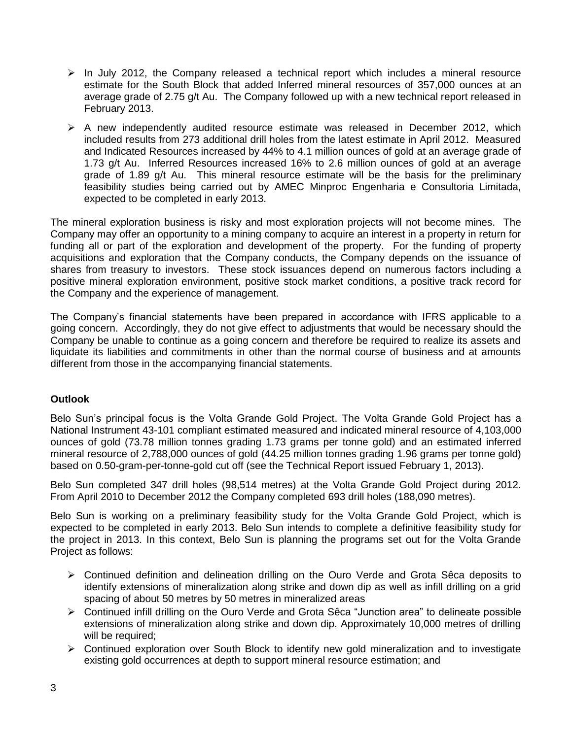- $\triangleright$  In July 2012, the Company released a technical report which includes a mineral resource estimate for the South Block that added Inferred mineral resources of 357,000 ounces at an average grade of 2.75 g/t Au. The Company followed up with a new technical report released in February 2013.
- $\triangleright$  A new independently audited resource estimate was released in December 2012, which included results from 273 additional drill holes from the latest estimate in April 2012. Measured and Indicated Resources increased by 44% to 4.1 million ounces of gold at an average grade of 1.73 g/t Au. Inferred Resources increased 16% to 2.6 million ounces of gold at an average grade of 1.89 g/t Au. This mineral resource estimate will be the basis for the preliminary feasibility studies being carried out by AMEC Minproc Engenharia e Consultoria Limitada, expected to be completed in early 2013.

The mineral exploration business is risky and most exploration projects will not become mines. The Company may offer an opportunity to a mining company to acquire an interest in a property in return for funding all or part of the exploration and development of the property. For the funding of property acquisitions and exploration that the Company conducts, the Company depends on the issuance of shares from treasury to investors. These stock issuances depend on numerous factors including a positive mineral exploration environment, positive stock market conditions, a positive track record for the Company and the experience of management.

The Company's financial statements have been prepared in accordance with IFRS applicable to a going concern. Accordingly, they do not give effect to adjustments that would be necessary should the Company be unable to continue as a going concern and therefore be required to realize its assets and liquidate its liabilities and commitments in other than the normal course of business and at amounts different from those in the accompanying financial statements.

# **Outlook**

Belo Sun's principal focus is the Volta Grande Gold Project. The Volta Grande Gold Project has a National Instrument 43-101 compliant estimated measured and indicated mineral resource of 4,103,000 ounces of gold (73.78 million tonnes grading 1.73 grams per tonne gold) and an estimated inferred mineral resource of 2,788,000 ounces of gold (44.25 million tonnes grading 1.96 grams per tonne gold) based on 0.50-gram-per-tonne-gold cut off (see the Technical Report issued February 1, 2013).

Belo Sun completed 347 drill holes (98,514 metres) at the Volta Grande Gold Project during 2012. From April 2010 to December 2012 the Company completed 693 drill holes (188,090 metres).

Belo Sun is working on a preliminary feasibility study for the Volta Grande Gold Project, which is expected to be completed in early 2013. Belo Sun intends to complete a definitive feasibility study for the project in 2013. In this context, Belo Sun is planning the programs set out for the Volta Grande Project as follows:

- Continued definition and delineation drilling on the Ouro Verde and Grota Sêca deposits to identify extensions of mineralization along strike and down dip as well as infill drilling on a grid spacing of about 50 metres by 50 metres in mineralized areas
- ▶ Continued infill drilling on the Ouro Verde and Grota Sêca "Junction area" to delineate possible extensions of mineralization along strike and down dip. Approximately 10,000 metres of drilling will be required;
- $\triangleright$  Continued exploration over South Block to identify new gold mineralization and to investigate existing gold occurrences at depth to support mineral resource estimation; and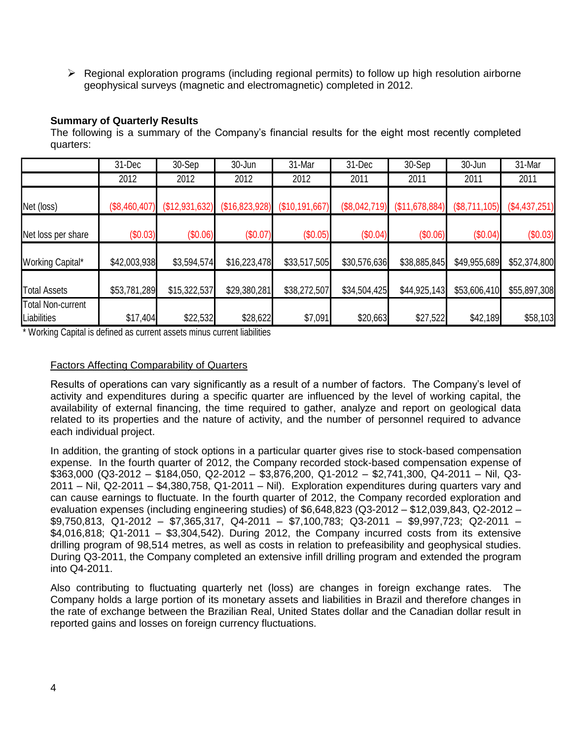$\triangleright$  Regional exploration programs (including regional permits) to follow up high resolution airborne geophysical surveys (magnetic and electromagnetic) completed in 2012.

# **Summary of Quarterly Results**

The following is a summary of the Company's financial results for the eight most recently completed quarters:

|                                         | 31-Dec        | 30-Sep           | 30-Jun         | 31-Mar         | 31-Dec        | 30-Sep         | 30-Jun        | 31-Mar        |
|-----------------------------------------|---------------|------------------|----------------|----------------|---------------|----------------|---------------|---------------|
|                                         | 2012          | 2012             | 2012           | 2012           | 2011          | 2011           | 2011          | 2011          |
| Net (loss)                              | (\$8,460,407) | $(\$12,931,632)$ | (\$16,823,928) | (\$10,191,667) | (\$8,042,719) | (\$11,678,884) | (\$8,711,105) | (\$4,437,251) |
| Net loss per share                      | (\$0.03)      | (\$0.06)         | (\$0.07)       | (\$0.05)       | (\$0.04)      | (\$0.06)       | (\$0.04)      | (\$0.03)      |
| Working Capital*                        | \$42,003,938  | \$3,594,574      | \$16,223,478   | \$33,517,505   | \$30,576,636  | \$38,885,845   | \$49,955,689  | \$52,374,800  |
| <b>Total Assets</b>                     | \$53,781,289  | \$15,322,537     | \$29,380,281   | \$38,272,507   | \$34,504,425  | \$44,925,143   | \$53,606,410  | \$55,897,308  |
| <b>Total Non-current</b><br>Liabilities | \$17,404      | \$22,532         | \$28,622       | \$7,091        | \$20,663      | \$27,522       | \$42,189      | \$58,103      |

\* Working Capital is defined as current assets minus current liabilities

# Factors Affecting Comparability of Quarters

Results of operations can vary significantly as a result of a number of factors. The Company's level of activity and expenditures during a specific quarter are influenced by the level of working capital, the availability of external financing, the time required to gather, analyze and report on geological data related to its properties and the nature of activity, and the number of personnel required to advance each individual project.

In addition, the granting of stock options in a particular quarter gives rise to stock-based compensation expense. In the fourth quarter of 2012, the Company recorded stock-based compensation expense of \$363,000 (Q3-2012 – \$184,050, Q2-2012 – \$3,876,200, Q1-2012 – \$2,741,300, Q4-2011 – Nil, Q3- 2011 – Nil, Q2-2011 – \$4,380,758, Q1-2011 – Nil). Exploration expenditures during quarters vary and can cause earnings to fluctuate. In the fourth quarter of 2012, the Company recorded exploration and evaluation expenses (including engineering studies) of \$6,648,823 (Q3-2012 – \$12,039,843, Q2-2012 – \$9,750,813, Q1-2012 – \$7,365,317, Q4-2011 – \$7,100,783; Q3-2011 – \$9,997,723; Q2-2011 – \$4,016,818; Q1-2011 – \$3,304,542). During 2012, the Company incurred costs from its extensive drilling program of 98,514 metres, as well as costs in relation to prefeasibility and geophysical studies. During Q3-2011, the Company completed an extensive infill drilling program and extended the program into Q4-2011.

Also contributing to fluctuating quarterly net (loss) are changes in foreign exchange rates. The Company holds a large portion of its monetary assets and liabilities in Brazil and therefore changes in the rate of exchange between the Brazilian Real, United States dollar and the Canadian dollar result in reported gains and losses on foreign currency fluctuations.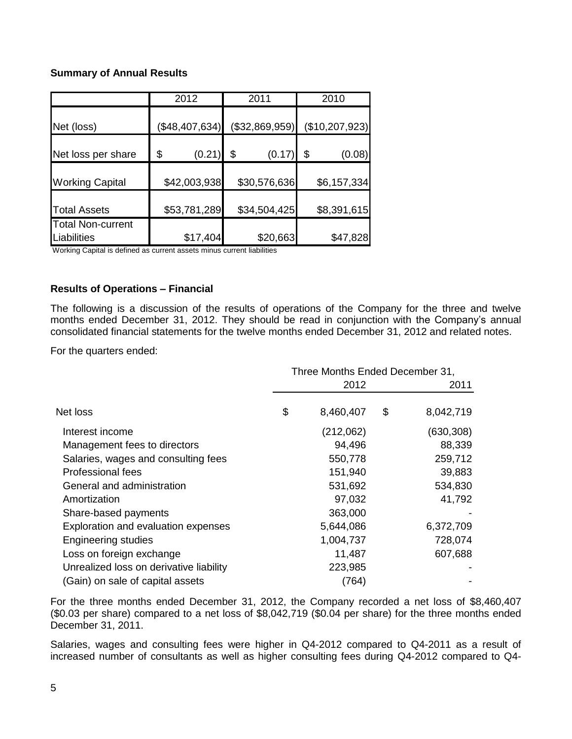# **Summary of Annual Results**

|                                         | 2012           | 2011           | 2010           |
|-----------------------------------------|----------------|----------------|----------------|
| Net (loss)                              | (\$48,407,634) | (\$32,869,959) | (\$10,207,923) |
| Net loss per share                      | (0.21)<br>\$   | (0.17)<br>\$   | \$<br>(0.08)   |
| <b>Working Capital</b>                  | \$42,003,938   | \$30,576,636   | \$6,157,334    |
| <b>Total Assets</b>                     | \$53,781,289   | \$34,504,425   | \$8,391,615    |
| <b>Total Non-current</b><br>Liabilities | \$17,404       | \$20,663       | \$47,828       |

Working Capital is defined as current assets minus current liabilities

# **Results of Operations – Financial**

The following is a discussion of the results of operations of the Company for the three and twelve months ended December 31, 2012. They should be read in conjunction with the Company's annual consolidated financial statements for the twelve months ended December 31, 2012 and related notes.

For the quarters ended:

|                                         | Three Months Ended December 31, |    |            |
|-----------------------------------------|---------------------------------|----|------------|
|                                         | 2012                            |    | 2011       |
| Net loss                                | \$<br>8,460,407                 | \$ | 8,042,719  |
| Interest income                         | (212,062)                       |    | (630, 308) |
| Management fees to directors            | 94,496                          |    | 88,339     |
| Salaries, wages and consulting fees     | 550,778                         |    | 259,712    |
| <b>Professional fees</b>                | 151,940                         |    | 39,883     |
| General and administration              | 531,692                         |    | 534,830    |
| Amortization                            | 97,032                          |    | 41,792     |
| Share-based payments                    | 363,000                         |    |            |
| Exploration and evaluation expenses     | 5,644,086                       |    | 6,372,709  |
| <b>Engineering studies</b>              | 1,004,737                       |    | 728,074    |
| Loss on foreign exchange                | 11,487                          |    | 607,688    |
| Unrealized loss on derivative liability | 223,985                         |    |            |
| (Gain) on sale of capital assets        | (764)                           |    |            |

For the three months ended December 31, 2012, the Company recorded a net loss of \$8,460,407 (\$0.03 per share) compared to a net loss of \$8,042,719 (\$0.04 per share) for the three months ended December 31, 2011.

Salaries, wages and consulting fees were higher in Q4-2012 compared to Q4-2011 as a result of increased number of consultants as well as higher consulting fees during Q4-2012 compared to Q4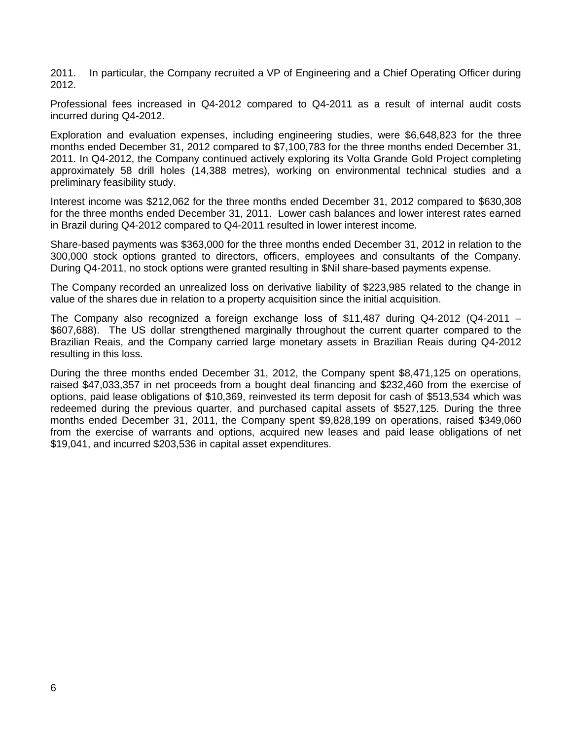2011. In particular, the Company recruited a VP of Engineering and a Chief Operating Officer during 2012.

Professional fees increased in Q4-2012 compared to Q4-2011 as a result of internal audit costs incurred during Q4-2012.

Exploration and evaluation expenses, including engineering studies, were \$6,648,823 for the three months ended December 31, 2012 compared to \$7,100,783 for the three months ended December 31, 2011. In Q4-2012, the Company continued actively exploring its Volta Grande Gold Project completing approximately 58 drill holes (14,388 metres), working on environmental technical studies and a preliminary feasibility study.

Interest income was \$212,062 for the three months ended December 31, 2012 compared to \$630,308 for the three months ended December 31, 2011. Lower cash balances and lower interest rates earned in Brazil during Q4-2012 compared to Q4-2011 resulted in lower interest income.

Share-based payments was \$363,000 for the three months ended December 31, 2012 in relation to the 300,000 stock options granted to directors, officers, employees and consultants of the Company. During Q4-2011, no stock options were granted resulting in \$Nil share-based payments expense.

The Company recorded an unrealized loss on derivative liability of \$223,985 related to the change in value of the shares due in relation to a property acquisition since the initial acquisition.

The Company also recognized a foreign exchange loss of \$11,487 during Q4-2012 (Q4-2011 – \$607,688). The US dollar strengthened marginally throughout the current quarter compared to the Brazilian Reais, and the Company carried large monetary assets in Brazilian Reais during Q4-2012 resulting in this loss.

During the three months ended December 31, 2012, the Company spent \$8,471,125 on operations, raised \$47,033,357 in net proceeds from a bought deal financing and \$232,460 from the exercise of options, paid lease obligations of \$10,369, reinvested its term deposit for cash of \$513,534 which was redeemed during the previous quarter, and purchased capital assets of \$527,125. During the three months ended December 31, 2011, the Company spent \$9,828,199 on operations, raised \$349,060 from the exercise of warrants and options, acquired new leases and paid lease obligations of net \$19,041, and incurred \$203,536 in capital asset expenditures.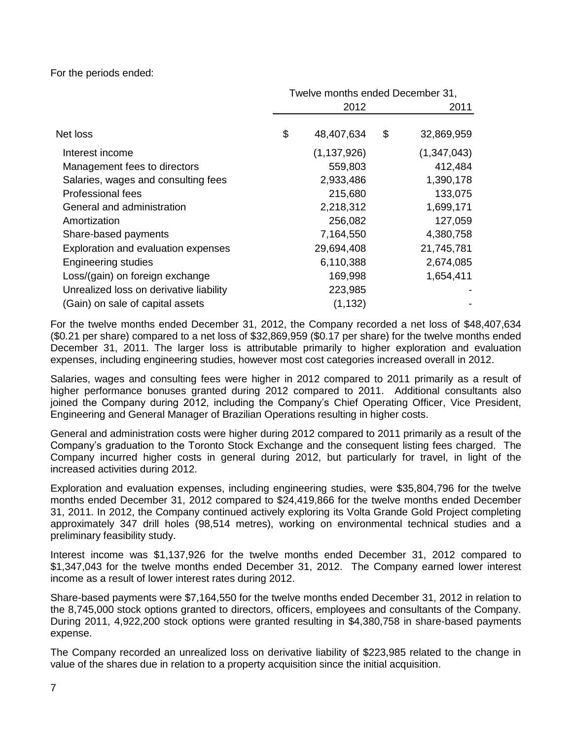For the periods ended:

|                                         |  | Twelve months ended December 31, |      |             |  |
|-----------------------------------------|--|----------------------------------|------|-------------|--|
|                                         |  | 2012                             | 2011 |             |  |
| Net loss                                |  | 48,407,634                       | \$   | 32,869,959  |  |
| Interest income                         |  | (1, 137, 926)                    |      | (1,347,043) |  |
| Management fees to directors            |  | 559,803                          |      | 412,484     |  |
| Salaries, wages and consulting fees     |  | 2,933,486                        |      | 1,390,178   |  |
| Professional fees                       |  | 215,680                          |      | 133,075     |  |
| General and administration              |  | 2,218,312                        |      | 1,699,171   |  |
| Amortization                            |  | 256,082                          |      | 127,059     |  |
| Share-based payments                    |  | 7,164,550                        |      | 4,380,758   |  |
| Exploration and evaluation expenses     |  | 29,694,408                       |      | 21,745,781  |  |
| <b>Engineering studies</b>              |  | 6,110,388                        |      | 2,674,085   |  |
| Loss/(gain) on foreign exchange         |  | 169,998                          |      | 1,654,411   |  |
| Unrealized loss on derivative liability |  | 223,985                          |      |             |  |
| (Gain) on sale of capital assets        |  | (1, 132)                         |      |             |  |

For the twelve months ended December 31, 2012, the Company recorded a net loss of \$48,407,634 (\$0.21 per share) compared to a net loss of \$32,869,959 (\$0.17 per share) for the twelve months ended December 31, 2011. The larger loss is attributable primarily to higher exploration and evaluation expenses, including engineering studies, however most cost categories increased overall in 2012.

Salaries, wages and consulting fees were higher in 2012 compared to 2011 primarily as a result of higher performance bonuses granted during 2012 compared to 2011. Additional consultants also joined the Company during 2012, including the Company's Chief Operating Officer, Vice President, Engineering and General Manager of Brazilian Operations resulting in higher costs.

General and administration costs were higher during 2012 compared to 2011 primarily as a result of the Company's graduation to the Toronto Stock Exchange and the consequent listing fees charged. The Company incurred higher costs in general during 2012, but particularly for travel, in light of the increased activities during 2012.

Exploration and evaluation expenses, including engineering studies, were \$35,804,796 for the twelve months ended December 31, 2012 compared to \$24,419,866 for the twelve months ended December 31, 2011. In 2012, the Company continued actively exploring its Volta Grande Gold Project completing approximately 347 drill holes (98,514 metres), working on environmental technical studies and a preliminary feasibility study.

Interest income was \$1,137,926 for the twelve months ended December 31, 2012 compared to \$1,347,043 for the twelve months ended December 31, 2012. The Company earned lower interest income as a result of lower interest rates during 2012.

Share-based payments were \$7,164,550 for the twelve months ended December 31, 2012 in relation to the 8,745,000 stock options granted to directors, officers, employees and consultants of the Company. During 2011, 4,922,200 stock options were granted resulting in \$4,380,758 in share-based payments expense.

The Company recorded an unrealized loss on derivative liability of \$223,985 related to the change in value of the shares due in relation to a property acquisition since the initial acquisition.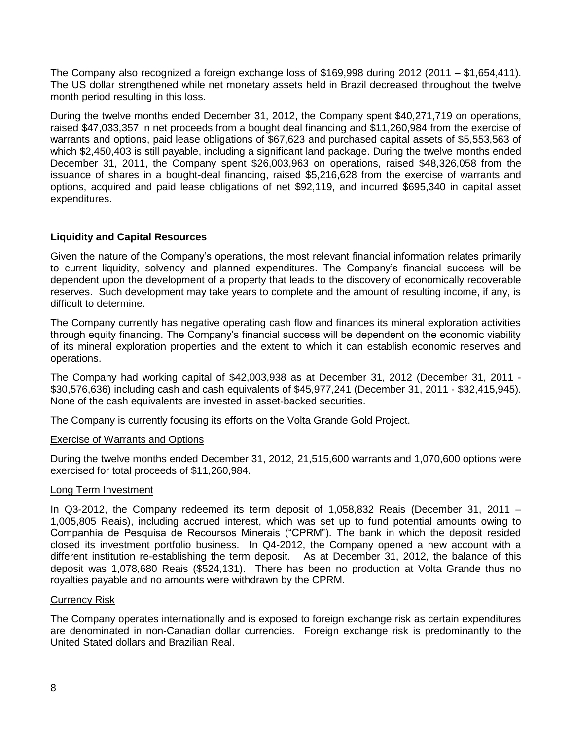The Company also recognized a foreign exchange loss of \$169,998 during 2012 (2011 – \$1,654,411). The US dollar strengthened while net monetary assets held in Brazil decreased throughout the twelve month period resulting in this loss.

During the twelve months ended December 31, 2012, the Company spent \$40,271,719 on operations, raised \$47,033,357 in net proceeds from a bought deal financing and \$11,260,984 from the exercise of warrants and options, paid lease obligations of \$67,623 and purchased capital assets of \$5,553,563 of which \$2,450,403 is still payable, including a significant land package. During the twelve months ended December 31, 2011, the Company spent \$26,003,963 on operations, raised \$48,326,058 from the issuance of shares in a bought-deal financing, raised \$5,216,628 from the exercise of warrants and options, acquired and paid lease obligations of net \$92,119, and incurred \$695,340 in capital asset expenditures.

# **Liquidity and Capital Resources**

Given the nature of the Company's operations, the most relevant financial information relates primarily to current liquidity, solvency and planned expenditures. The Company's financial success will be dependent upon the development of a property that leads to the discovery of economically recoverable reserves. Such development may take years to complete and the amount of resulting income, if any, is difficult to determine.

The Company currently has negative operating cash flow and finances its mineral exploration activities through equity financing. The Company's financial success will be dependent on the economic viability of its mineral exploration properties and the extent to which it can establish economic reserves and operations.

The Company had working capital of \$42,003,938 as at December 31, 2012 (December 31, 2011 - \$30,576,636) including cash and cash equivalents of \$45,977,241 (December 31, 2011 - \$32,415,945). None of the cash equivalents are invested in asset-backed securities.

The Company is currently focusing its efforts on the Volta Grande Gold Project.

# Exercise of Warrants and Options

During the twelve months ended December 31, 2012, 21,515,600 warrants and 1,070,600 options were exercised for total proceeds of \$11,260,984.

# Long Term Investment

In Q3-2012, the Company redeemed its term deposit of 1,058,832 Reais (December 31, 2011 – 1,005,805 Reais), including accrued interest, which was set up to fund potential amounts owing to Companhia de Pesquisa de Recoursos Minerais ("CPRM"). The bank in which the deposit resided closed its investment portfolio business. In Q4-2012, the Company opened a new account with a different institution re-establishing the term deposit. As at December 31, 2012, the balance of this deposit was 1,078,680 Reais (\$524,131). There has been no production at Volta Grande thus no royalties payable and no amounts were withdrawn by the CPRM.

# Currency Risk

The Company operates internationally and is exposed to foreign exchange risk as certain expenditures are denominated in non-Canadian dollar currencies. Foreign exchange risk is predominantly to the United Stated dollars and Brazilian Real.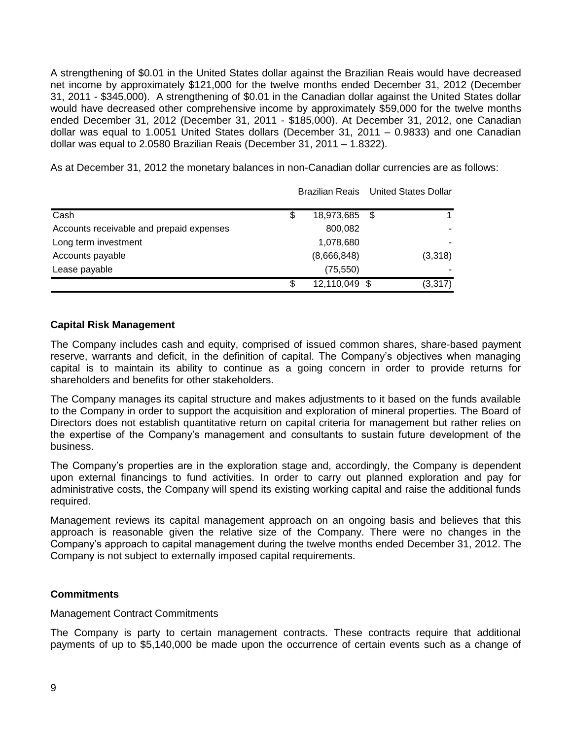A strengthening of \$0.01 in the United States dollar against the Brazilian Reais would have decreased net income by approximately \$121,000 for the twelve months ended December 31, 2012 (December 31, 2011 - \$345,000). A strengthening of \$0.01 in the Canadian dollar against the United States dollar would have decreased other comprehensive income by approximately \$59,000 for the twelve months ended December 31, 2012 (December 31, 2011 - \$185,000). At December 31, 2012, one Canadian dollar was equal to 1.0051 United States dollars (December 31, 2011 – 0.9833) and one Canadian dollar was equal to 2.0580 Brazilian Reais (December 31, 2011 – 1.8322).

As at December 31, 2012 the monetary balances in non-Canadian dollar currencies are as follows:

|                                          |                     | <b>Brazilian Reais</b> United States Dollar |  |  |
|------------------------------------------|---------------------|---------------------------------------------|--|--|
| Cash                                     | \$<br>18,973,685 \$ |                                             |  |  |
| Accounts receivable and prepaid expenses | 800,082             |                                             |  |  |
| Long term investment                     | 1,078,680           |                                             |  |  |
| Accounts payable                         | (8,666,848)         | (3,318)                                     |  |  |
| Lease payable                            | (75, 550)           |                                             |  |  |
|                                          | \$<br>12,110,049 \$ | (3, 317)                                    |  |  |

# **Capital Risk Management**

The Company includes cash and equity, comprised of issued common shares, share-based payment reserve, warrants and deficit, in the definition of capital. The Company's objectives when managing capital is to maintain its ability to continue as a going concern in order to provide returns for shareholders and benefits for other stakeholders.

The Company manages its capital structure and makes adjustments to it based on the funds available to the Company in order to support the acquisition and exploration of mineral properties. The Board of Directors does not establish quantitative return on capital criteria for management but rather relies on the expertise of the Company's management and consultants to sustain future development of the business.

The Company's properties are in the exploration stage and, accordingly, the Company is dependent upon external financings to fund activities. In order to carry out planned exploration and pay for administrative costs, the Company will spend its existing working capital and raise the additional funds required.

Management reviews its capital management approach on an ongoing basis and believes that this approach is reasonable given the relative size of the Company. There were no changes in the Company's approach to capital management during the twelve months ended December 31, 2012. The Company is not subject to externally imposed capital requirements.

# **Commitments**

## Management Contract Commitments

The Company is party to certain management contracts. These contracts require that additional payments of up to \$5,140,000 be made upon the occurrence of certain events such as a change of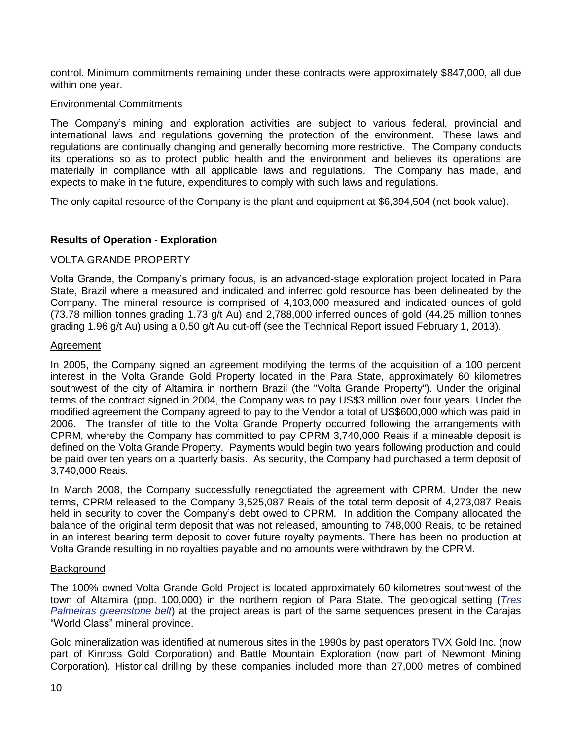control. Minimum commitments remaining under these contracts were approximately \$847,000, all due within one year.

# Environmental Commitments

The Company's mining and exploration activities are subject to various federal, provincial and international laws and regulations governing the protection of the environment. These laws and regulations are continually changing and generally becoming more restrictive. The Company conducts its operations so as to protect public health and the environment and believes its operations are materially in compliance with all applicable laws and regulations. The Company has made, and expects to make in the future, expenditures to comply with such laws and regulations.

The only capital resource of the Company is the plant and equipment at \$6,394,504 (net book value).

# **Results of Operation - Exploration**

# VOLTA GRANDE PROPERTY

Volta Grande, the Company's primary focus, is an advanced-stage exploration project located in Para State, Brazil where a measured and indicated and inferred gold resource has been delineated by the Company. The mineral resource is comprised of 4,103,000 measured and indicated ounces of gold (73.78 million tonnes grading 1.73 g/t Au) and 2,788,000 inferred ounces of gold (44.25 million tonnes grading 1.96 g/t Au) using a 0.50 g/t Au cut-off (see the Technical Report issued February 1, 2013).

## Agreement

In 2005, the Company signed an agreement modifying the terms of the acquisition of a 100 percent interest in the Volta Grande Gold Property located in the Para State, approximately 60 kilometres southwest of the city of Altamira in northern Brazil (the "Volta Grande Property"). Under the original terms of the contract signed in 2004, the Company was to pay US\$3 million over four years. Under the modified agreement the Company agreed to pay to the Vendor a total of US\$600,000 which was paid in 2006. The transfer of title to the Volta Grande Property occurred following the arrangements with CPRM, whereby the Company has committed to pay CPRM 3,740,000 Reais if a mineable deposit is defined on the Volta Grande Property. Payments would begin two years following production and could be paid over ten years on a quarterly basis. As security, the Company had purchased a term deposit of 3,740,000 Reais.

In March 2008, the Company successfully renegotiated the agreement with CPRM. Under the new terms, CPRM released to the Company 3,525,087 Reais of the total term deposit of 4,273,087 Reais held in security to cover the Company's debt owed to CPRM. In addition the Company allocated the balance of the original term deposit that was not released, amounting to 748,000 Reais, to be retained in an interest bearing term deposit to cover future royalty payments. There has been no production at Volta Grande resulting in no royalties payable and no amounts were withdrawn by the CPRM.

## **Background**

The 100% owned Volta Grande Gold Project is located approximately 60 kilometres southwest of the town of Altamira (pop. 100,000) in the northern region of Para State. The geological setting (*Tres Palmeiras greenstone belt*) at the project areas is part of the same sequences present in the Carajas "World Class" mineral province.

Gold mineralization was identified at numerous sites in the 1990s by past operators TVX Gold Inc. (now part of Kinross Gold Corporation) and Battle Mountain Exploration (now part of Newmont Mining Corporation). Historical drilling by these companies included more than 27,000 metres of combined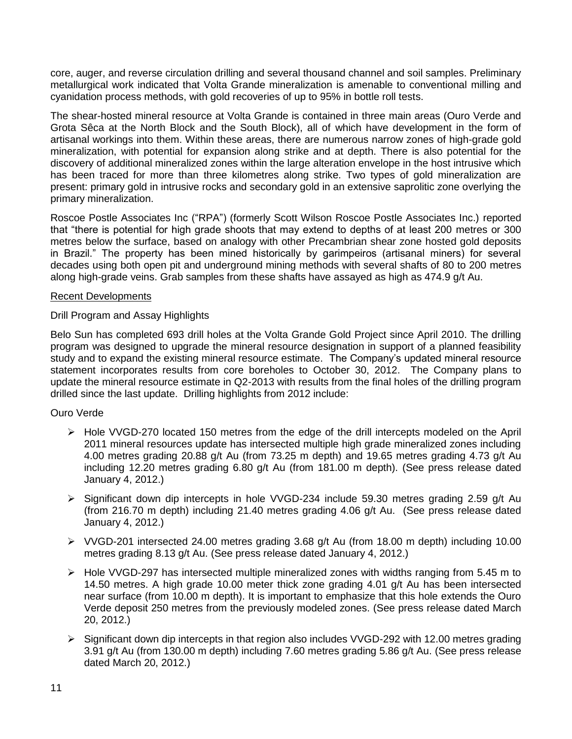core, auger, and reverse circulation drilling and several thousand channel and soil samples. Preliminary metallurgical work indicated that Volta Grande mineralization is amenable to conventional milling and cyanidation process methods, with gold recoveries of up to 95% in bottle roll tests.

The shear-hosted mineral resource at Volta Grande is contained in three main areas (Ouro Verde and Grota Sêca at the North Block and the South Block), all of which have development in the form of artisanal workings into them. Within these areas, there are numerous narrow zones of high-grade gold mineralization, with potential for expansion along strike and at depth. There is also potential for the discovery of additional mineralized zones within the large alteration envelope in the host intrusive which has been traced for more than three kilometres along strike. Two types of gold mineralization are present: primary gold in intrusive rocks and secondary gold in an extensive saprolitic zone overlying the primary mineralization.

Roscoe Postle Associates Inc ("RPA") (formerly Scott Wilson Roscoe Postle Associates Inc.) reported that "there is potential for high grade shoots that may extend to depths of at least 200 metres or 300 metres below the surface, based on analogy with other Precambrian shear zone hosted gold deposits in Brazil." The property has been mined historically by garimpeiros (artisanal miners) for several decades using both open pit and underground mining methods with several shafts of 80 to 200 metres along high-grade veins. Grab samples from these shafts have assayed as high as 474.9 g/t Au.

# Recent Developments

# Drill Program and Assay Highlights

Belo Sun has completed 693 drill holes at the Volta Grande Gold Project since April 2010. The drilling program was designed to upgrade the mineral resource designation in support of a planned feasibility study and to expand the existing mineral resource estimate. The Company's updated mineral resource statement incorporates results from core boreholes to October 30, 2012. The Company plans to update the mineral resource estimate in Q2-2013 with results from the final holes of the drilling program drilled since the last update. Drilling highlights from 2012 include:

# Ouro Verde

- $\triangleright$  Hole VVGD-270 located 150 metres from the edge of the drill intercepts modeled on the April 2011 mineral resources update has intersected multiple high grade mineralized zones including 4.00 metres grading 20.88 g/t Au (from 73.25 m depth) and 19.65 metres grading 4.73 g/t Au including 12.20 metres grading 6.80 g/t Au (from 181.00 m depth). (See press release dated January 4, 2012.)
- $\triangleright$  Significant down dip intercepts in hole VVGD-234 include 59.30 metres grading 2.59 g/t Au (from 216.70 m depth) including 21.40 metres grading 4.06 g/t Au. (See press release dated January 4, 2012.)
- $\triangleright$  VVGD-201 intersected 24.00 metres grading 3.68 g/t Au (from 18.00 m depth) including 10.00 metres grading 8.13 g/t Au. (See press release dated January 4, 2012.)
- $\triangleright$  Hole VVGD-297 has intersected multiple mineralized zones with widths ranging from 5.45 m to 14.50 metres. A high grade 10.00 meter thick zone grading 4.01 g/t Au has been intersected near surface (from 10.00 m depth). It is important to emphasize that this hole extends the Ouro Verde deposit 250 metres from the previously modeled zones. (See press release dated March 20, 2012.)
- $\triangleright$  Significant down dip intercepts in that region also includes VVGD-292 with 12.00 metres grading 3.91 g/t Au (from 130.00 m depth) including 7.60 metres grading 5.86 g/t Au. (See press release dated March 20, 2012.)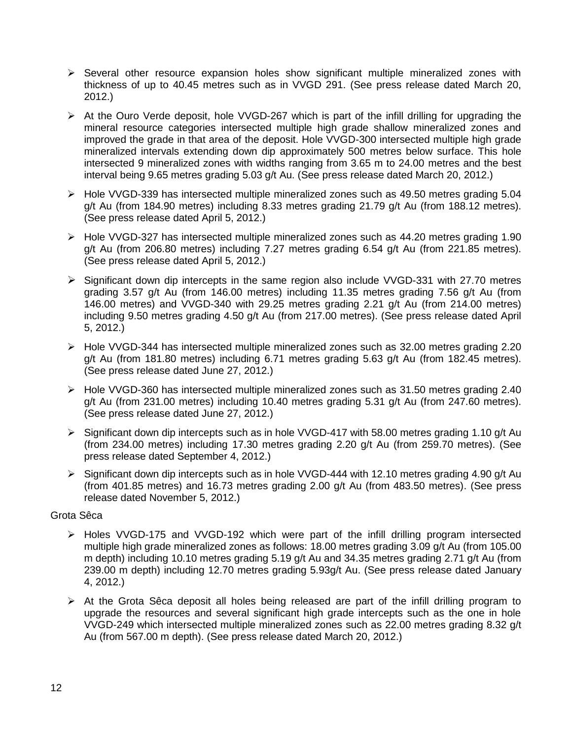- $\triangleright$  Several other resource expansion holes show significant multiple mineralized zones with thickness of up to 40.45 metres such as in VVGD 291. (See press release dated March 20, 2012.)
- $\triangleright$  At the Ouro Verde deposit, hole VVGD-267 which is part of the infill drilling for upgrading the mineral resource categories intersected multiple high grade shallow mineralized zones and improved the grade in that area of the deposit. Hole VVGD-300 intersected multiple high grade mineralized intervals extending down dip approximately 500 metres below surface. This hole intersected 9 mineralized zones with widths ranging from 3.65 m to 24.00 metres and the best interval being 9.65 metres grading 5.03 g/t Au. (See press release dated March 20, 2012.)
- Hole VVGD-339 has intersected multiple mineralized zones such as 49.50 metres grading 5.04 g/t Au (from 184.90 metres) including 8.33 metres grading 21.79 g/t Au (from 188.12 metres). (See press release dated April 5, 2012.)
- $\triangleright$  Hole VVGD-327 has intersected multiple mineralized zones such as 44.20 metres grading 1.90 g/t Au (from 206.80 metres) including 7.27 metres grading 6.54 g/t Au (from 221.85 metres). (See press release dated April 5, 2012.)
- $\triangleright$  Significant down dip intercepts in the same region also include VVGD-331 with 27.70 metres grading 3.57 g/t Au (from 146.00 metres) including 11.35 metres grading 7.56 g/t Au (from 146.00 metres) and VVGD-340 with 29.25 metres grading 2.21 g/t Au (from 214.00 metres) including 9.50 metres grading 4.50 g/t Au (from 217.00 metres). (See press release dated April 5, 2012.)
- Hole VVGD-344 has intersected multiple mineralized zones such as 32.00 metres grading 2.20 g/t Au (from 181.80 metres) including 6.71 metres grading 5.63 g/t Au (from 182.45 metres). (See press release dated June 27, 2012.)
- Hole VVGD-360 has intersected multiple mineralized zones such as 31.50 metres grading 2.40 g/t Au (from 231.00 metres) including 10.40 metres grading 5.31 g/t Au (from 247.60 metres). (See press release dated June 27, 2012.)
- Significant down dip intercepts such as in hole VVGD-417 with 58.00 metres grading 1.10 g/t Au (from 234.00 metres) including 17.30 metres grading 2.20 g/t Au (from 259.70 metres). (See press release dated September 4, 2012.)
- Significant down dip intercepts such as in hole VVGD-444 with 12.10 metres grading 4.90 g/t Au (from 401.85 metres) and 16.73 metres grading 2.00 g/t Au (from 483.50 metres). (See press release dated November 5, 2012.)

# Grota Sêca

- $\triangleright$  Holes VVGD-175 and VVGD-192 which were part of the infill drilling program intersected multiple high grade mineralized zones as follows: 18.00 metres grading 3.09 g/t Au (from 105.00 m depth) including 10.10 metres grading 5.19 g/t Au and 34.35 metres grading 2.71 g/t Au (from 239.00 m depth) including 12.70 metres grading 5.93g/t Au. (See press release dated January 4, 2012.)
- $\triangleright$  At the Grota Sêca deposit all holes being released are part of the infill drilling program to upgrade the resources and several significant high grade intercepts such as the one in hole VVGD-249 which intersected multiple mineralized zones such as 22.00 metres grading 8.32 g/t Au (from 567.00 m depth). (See press release dated March 20, 2012.)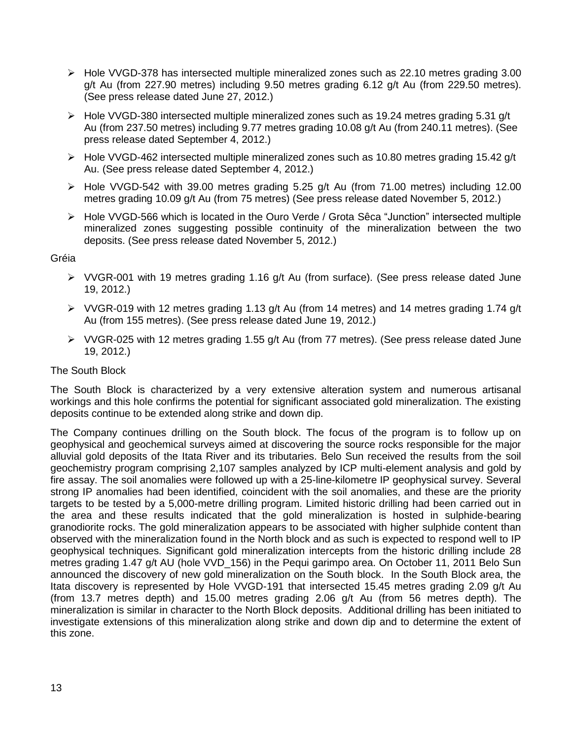- $\triangleright$  Hole VVGD-378 has intersected multiple mineralized zones such as 22.10 metres grading 3.00 g/t Au (from 227.90 metres) including 9.50 metres grading 6.12 g/t Au (from 229.50 metres). (See press release dated June 27, 2012.)
- $\triangleright$  Hole VVGD-380 intersected multiple mineralized zones such as 19.24 metres grading 5.31 g/t Au (from 237.50 metres) including 9.77 metres grading 10.08 g/t Au (from 240.11 metres). (See press release dated September 4, 2012.)
- $\triangleright$  Hole VVGD-462 intersected multiple mineralized zones such as 10.80 metres grading 15.42 g/t Au. (See press release dated September 4, 2012.)
- $\triangleright$  Hole VVGD-542 with 39.00 metres grading 5.25 g/t Au (from 71.00 metres) including 12.00 metres grading 10.09 g/t Au (from 75 metres) (See press release dated November 5, 2012.)
- $\triangleright$  Hole VVGD-566 which is located in the Ouro Verde / Grota Sêca "Junction" intersected multiple mineralized zones suggesting possible continuity of the mineralization between the two deposits. (See press release dated November 5, 2012.)

# Gréia

- $\triangleright$  VVGR-001 with 19 metres grading 1.16 g/t Au (from surface). (See press release dated June 19, 2012.)
- $\triangleright$  VVGR-019 with 12 metres grading 1.13 g/t Au (from 14 metres) and 14 metres grading 1.74 g/t Au (from 155 metres). (See press release dated June 19, 2012.)
- $\triangleright$  VVGR-025 with 12 metres grading 1.55 g/t Au (from 77 metres). (See press release dated June 19, 2012.)

# The South Block

The South Block is characterized by a very extensive alteration system and numerous artisanal workings and this hole confirms the potential for significant associated gold mineralization. The existing deposits continue to be extended along strike and down dip.

The Company continues drilling on the South block. The focus of the program is to follow up on geophysical and geochemical surveys aimed at discovering the source rocks responsible for the major alluvial gold deposits of the Itata River and its tributaries. Belo Sun received the results from the soil geochemistry program comprising 2,107 samples analyzed by ICP multi-element analysis and gold by fire assay. The soil anomalies were followed up with a 25-line-kilometre IP geophysical survey. Several strong IP anomalies had been identified, coincident with the soil anomalies, and these are the priority targets to be tested by a 5,000-metre drilling program. Limited historic drilling had been carried out in the area and these results indicated that the gold mineralization is hosted in sulphide-bearing granodiorite rocks. The gold mineralization appears to be associated with higher sulphide content than observed with the mineralization found in the North block and as such is expected to respond well to IP geophysical techniques. Significant gold mineralization intercepts from the historic drilling include 28 metres grading 1.47 g/t AU (hole VVD 156) in the Pequi garimpo area. On October 11, 2011 Belo Sun announced the discovery of new gold mineralization on the South block. In the South Block area, the Itata discovery is represented by Hole VVGD-191 that intersected 15.45 metres grading 2.09 g/t Au (from 13.7 metres depth) and 15.00 metres grading 2.06 g/t Au (from 56 metres depth). The mineralization is similar in character to the North Block deposits. Additional drilling has been initiated to investigate extensions of this mineralization along strike and down dip and to determine the extent of this zone.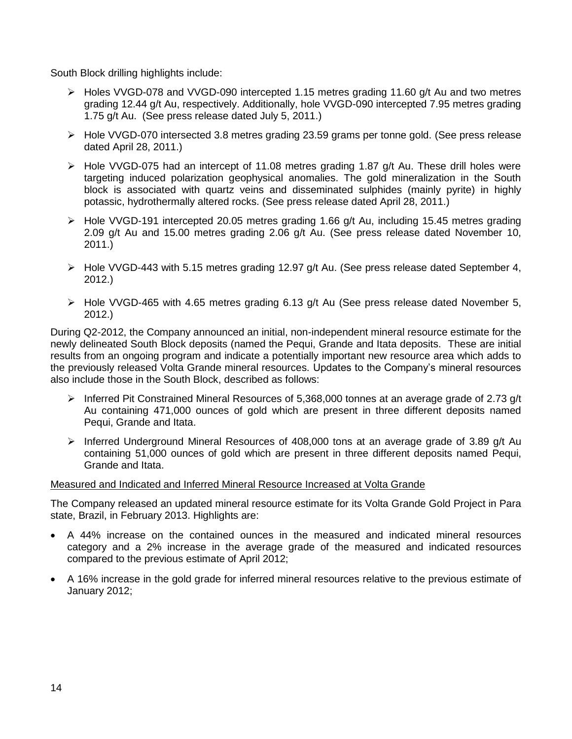South Block drilling highlights include:

- Holes VVGD-078 and VVGD-090 intercepted 1.15 metres grading 11.60 g/t Au and two metres grading 12.44 g/t Au, respectively. Additionally, hole VVGD-090 intercepted 7.95 metres grading 1.75 g/t Au. (See press release dated July 5, 2011.)
- $\triangleright$  Hole VVGD-070 intersected 3.8 metres grading 23.59 grams per tonne gold. (See press release dated April 28, 2011.)
- $\triangleright$  Hole VVGD-075 had an intercept of 11.08 metres grading 1.87 g/t Au. These drill holes were targeting induced polarization geophysical anomalies. The gold mineralization in the South block is associated with quartz veins and disseminated sulphides (mainly pyrite) in highly potassic, hydrothermally altered rocks. (See press release dated April 28, 2011.)
- Hole VVGD-191 intercepted 20.05 metres grading 1.66 g/t Au, including 15.45 metres grading 2.09 g/t Au and 15.00 metres grading 2.06 g/t Au. (See press release dated November 10, 2011.)
- $\triangleright$  Hole VVGD-443 with 5.15 metres grading 12.97 g/t Au. (See press release dated September 4, 2012.)
- Hole VVGD-465 with 4.65 metres grading 6.13 g/t Au (See press release dated November 5, 2012.)

During Q2-2012, the Company announced an initial, non-independent mineral resource estimate for the newly delineated South Block deposits (named the Pequi, Grande and Itata deposits. These are initial results from an ongoing program and indicate a potentially important new resource area which adds to the previously released Volta Grande mineral resources. Updates to the Company's mineral resources also include those in the South Block, described as follows:

- Inferred Pit Constrained Mineral Resources of 5,368,000 tonnes at an average grade of 2.73 g/t Au containing 471,000 ounces of gold which are present in three different deposits named Pequi, Grande and Itata.
- > Inferred Underground Mineral Resources of 408,000 tons at an average grade of 3.89 g/t Au containing 51,000 ounces of gold which are present in three different deposits named Pequi, Grande and Itata.

## Measured and Indicated and Inferred Mineral Resource Increased at Volta Grande

The Company released an updated mineral resource estimate for its Volta Grande Gold Project in Para state, Brazil, in February 2013. Highlights are:

- A 44% increase on the contained ounces in the measured and indicated mineral resources category and a 2% increase in the average grade of the measured and indicated resources compared to the previous estimate of April 2012;
- A 16% increase in the gold grade for inferred mineral resources relative to the previous estimate of January 2012;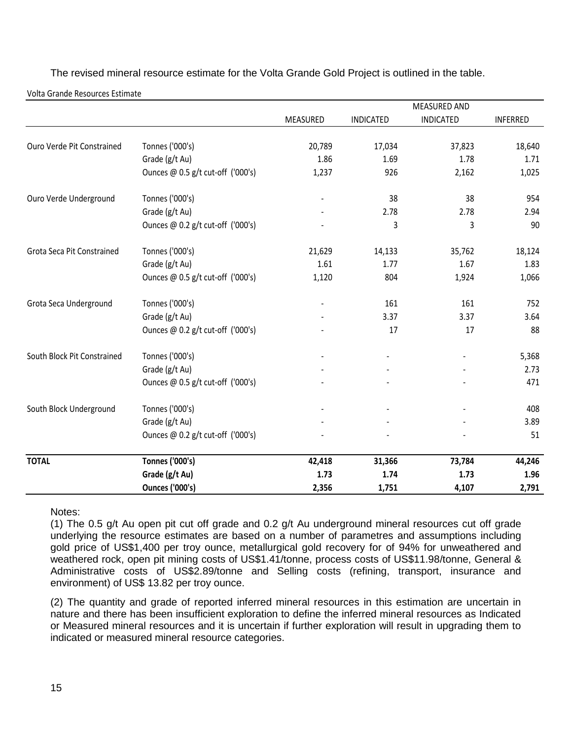The revised mineral resource estimate for the Volta Grande Gold Project is outlined in the table.

Volta Grande Resources Estimate

|                             |                                   |          |                  | <b>MEASURED AND</b> |                 |
|-----------------------------|-----------------------------------|----------|------------------|---------------------|-----------------|
|                             |                                   | MEASURED | <b>INDICATED</b> | <b>INDICATED</b>    | <b>INFERRED</b> |
| Ouro Verde Pit Constrained  | Tonnes ('000's)                   | 20,789   | 17,034           | 37,823              | 18,640          |
|                             | Grade (g/t Au)                    | 1.86     | 1.69             | 1.78                | 1.71            |
|                             | Ounces @ 0.5 g/t cut-off ('000's) | 1,237    | 926              | 2,162               | 1,025           |
| Ouro Verde Underground      | Tonnes ('000's)                   |          | 38               | 38                  | 954             |
|                             | Grade (g/t Au)                    |          | 2.78             | 2.78                | 2.94            |
|                             | Ounces @ 0.2 g/t cut-off ('000's) |          | 3                | 3                   | 90              |
| Grota Seca Pit Constrained  | Tonnes ('000's)                   | 21,629   | 14,133           | 35,762              | 18,124          |
|                             | Grade (g/t Au)                    | 1.61     | 1.77             | 1.67                | 1.83            |
|                             | Ounces @ 0.5 g/t cut-off ('000's) | 1,120    | 804              | 1,924               | 1,066           |
| Grota Seca Underground      | Tonnes ('000's)                   |          | 161              | 161                 | 752             |
|                             | Grade (g/t Au)                    |          | 3.37             | 3.37                | 3.64            |
|                             | Ounces @ 0.2 g/t cut-off ('000's) |          | 17               | 17                  | 88              |
| South Block Pit Constrained | Tonnes ('000's)                   |          |                  |                     | 5,368           |
|                             | Grade (g/t Au)                    |          |                  |                     | 2.73            |
|                             | Ounces @ 0.5 g/t cut-off ('000's) |          |                  |                     | 471             |
| South Block Underground     | Tonnes ('000's)                   |          |                  |                     | 408             |
|                             | Grade (g/t Au)                    |          |                  |                     | 3.89            |
|                             | Ounces @ 0.2 g/t cut-off ('000's) |          |                  |                     | 51              |
| <b>TOTAL</b>                | <b>Tonnes ('000's)</b>            | 42,418   | 31,366           | 73,784              | 44,246          |
|                             | Grade (g/t Au)                    | 1.73     | 1.74             | 1.73                | 1.96            |
|                             | <b>Ounces ('000's)</b>            | 2,356    | 1,751            | 4,107               | 2,791           |

Notes:

(1) The 0.5 g/t Au open pit cut off grade and 0.2 g/t Au underground mineral resources cut off grade underlying the resource estimates are based on a number of parametres and assumptions including gold price of US\$1,400 per troy ounce, metallurgical gold recovery for of 94% for unweathered and weathered rock, open pit mining costs of US\$1.41/tonne, process costs of US\$11.98/tonne, General & Administrative costs of US\$2.89/tonne and Selling costs (refining, transport, insurance and environment) of US\$ 13.82 per troy ounce.

(2) The quantity and grade of reported inferred mineral resources in this estimation are uncertain in nature and there has been insufficient exploration to define the inferred mineral resources as Indicated or Measured mineral resources and it is uncertain if further exploration will result in upgrading them to indicated or measured mineral resource categories.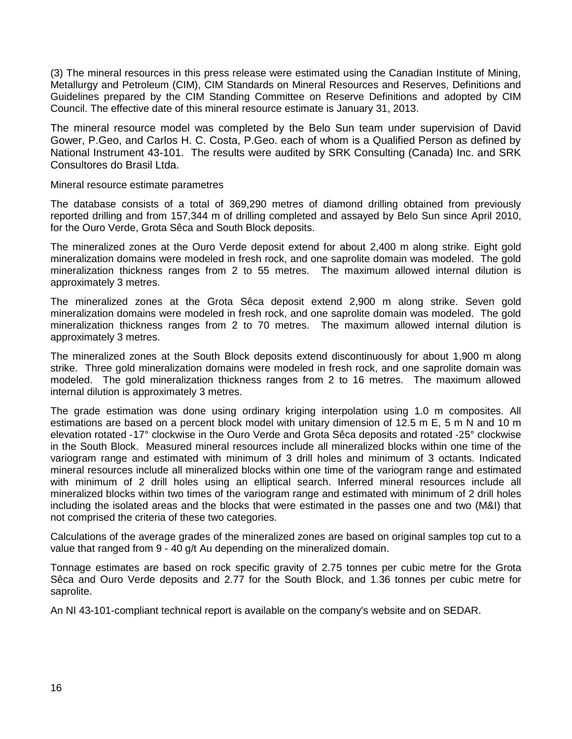(3) The mineral resources in this press release were estimated using the Canadian Institute of Mining, Metallurgy and Petroleum (CIM), CIM Standards on Mineral Resources and Reserves, Definitions and Guidelines prepared by the CIM Standing Committee on Reserve Definitions and adopted by CIM Council. The effective date of this mineral resource estimate is January 31, 2013.

The mineral resource model was completed by the Belo Sun team under supervision of David Gower, P.Geo, and Carlos H. C. Costa, P.Geo. each of whom is a Qualified Person as defined by National Instrument 43-101. The results were audited by SRK Consulting (Canada) Inc. and SRK Consultores do Brasil Ltda.

Mineral resource estimate parametres

The database consists of a total of 369,290 metres of diamond drilling obtained from previously reported drilling and from 157,344 m of drilling completed and assayed by Belo Sun since April 2010, for the Ouro Verde, Grota Sêca and South Block deposits.

The mineralized zones at the Ouro Verde deposit extend for about 2,400 m along strike. Eight gold mineralization domains were modeled in fresh rock, and one saprolite domain was modeled. The gold mineralization thickness ranges from 2 to 55 metres. The maximum allowed internal dilution is approximately 3 metres.

The mineralized zones at the Grota Sêca deposit extend 2,900 m along strike. Seven gold mineralization domains were modeled in fresh rock, and one saprolite domain was modeled. The gold mineralization thickness ranges from 2 to 70 metres. The maximum allowed internal dilution is approximately 3 metres.

The mineralized zones at the South Block deposits extend discontinuously for about 1,900 m along strike. Three gold mineralization domains were modeled in fresh rock, and one saprolite domain was modeled. The gold mineralization thickness ranges from 2 to 16 metres. The maximum allowed internal dilution is approximately 3 metres.

The grade estimation was done using ordinary kriging interpolation using 1.0 m composites. All estimations are based on a percent block model with unitary dimension of 12.5 m E, 5 m N and 10 m elevation rotated ‐17° clockwise in the Ouro Verde and Grota Sêca deposits and rotated ‐25° clockwise in the South Block. Measured mineral resources include all mineralized blocks within one time of the variogram range and estimated with minimum of 3 drill holes and minimum of 3 octants. Indicated mineral resources include all mineralized blocks within one time of the variogram range and estimated with minimum of 2 drill holes using an elliptical search. Inferred mineral resources include all mineralized blocks within two times of the variogram range and estimated with minimum of 2 drill holes including the isolated areas and the blocks that were estimated in the passes one and two (M&I) that not comprised the criteria of these two categories.

Calculations of the average grades of the mineralized zones are based on original samples top cut to a value that ranged from 9 - 40 g/t Au depending on the mineralized domain.

Tonnage estimates are based on rock specific gravity of 2.75 tonnes per cubic metre for the Grota Sêca and Ouro Verde deposits and 2.77 for the South Block, and 1.36 tonnes per cubic metre for saprolite.

An NI 43-101-compliant technical report is available on the company's website and on SEDAR.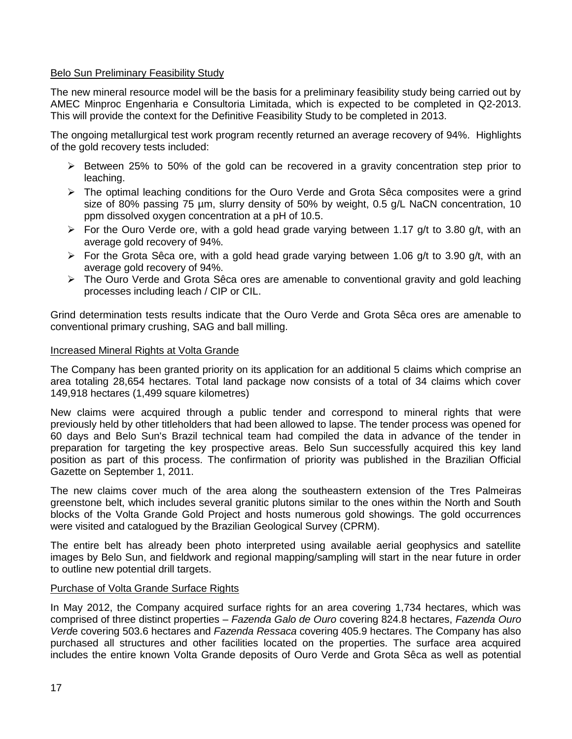# Belo Sun Preliminary Feasibility Study

The new mineral resource model will be the basis for a preliminary feasibility study being carried out by AMEC Minproc Engenharia e Consultoria Limitada, which is expected to be completed in Q2-2013. This will provide the context for the Definitive Feasibility Study to be completed in 2013.

The ongoing metallurgical test work program recently returned an average recovery of 94%. Highlights of the gold recovery tests included:

- $\triangleright$  Between 25% to 50% of the gold can be recovered in a gravity concentration step prior to leaching.
- $\triangleright$  The optimal leaching conditions for the Ouro Verde and Grota Sêca composites were a grind size of 80% passing 75 µm, slurry density of 50% by weight, 0.5 g/L NaCN concentration, 10 ppm dissolved oxygen concentration at a pH of 10.5.
- $\triangleright$  For the Ouro Verde ore, with a gold head grade varying between 1.17 g/t to 3.80 g/t, with an average gold recovery of 94%.
- For the Grota Sêca ore, with a gold head grade varying between 1.06 g/t to 3.90 g/t, with an average gold recovery of 94%.
- $\triangleright$  The Ouro Verde and Grota Sêca ores are amenable to conventional gravity and gold leaching processes including leach / CIP or CIL.

Grind determination tests results indicate that the Ouro Verde and Grota Sêca ores are amenable to conventional primary crushing, SAG and ball milling.

# Increased Mineral Rights at Volta Grande

The Company has been granted priority on its application for an additional 5 claims which comprise an area totaling 28,654 hectares. Total land package now consists of a total of 34 claims which cover 149,918 hectares (1,499 square kilometres)

New claims were acquired through a public tender and correspond to mineral rights that were previously held by other titleholders that had been allowed to lapse. The tender process was opened for 60 days and Belo Sun's Brazil technical team had compiled the data in advance of the tender in preparation for targeting the key prospective areas. Belo Sun successfully acquired this key land position as part of this process. The confirmation of priority was published in the Brazilian Official Gazette on September 1, 2011.

The new claims cover much of the area along the southeastern extension of the Tres Palmeiras greenstone belt, which includes several granitic plutons similar to the ones within the North and South blocks of the Volta Grande Gold Project and hosts numerous gold showings. The gold occurrences were visited and catalogued by the Brazilian Geological Survey (CPRM).

The entire belt has already been photo interpreted using available aerial geophysics and satellite images by Belo Sun, and fieldwork and regional mapping/sampling will start in the near future in order to outline new potential drill targets.

# Purchase of Volta Grande Surface Rights

In May 2012, the Company acquired surface rights for an area covering 1,734 hectares, which was comprised of three distinct properties – *Fazenda Galo de Ouro* covering 824.8 hectares, *Fazenda Ouro Verd*e covering 503.6 hectares and *Fazenda Ressaca* covering 405.9 hectares. The Company has also purchased all structures and other facilities located on the properties. The surface area acquired includes the entire known Volta Grande deposits of Ouro Verde and Grota Sêca as well as potential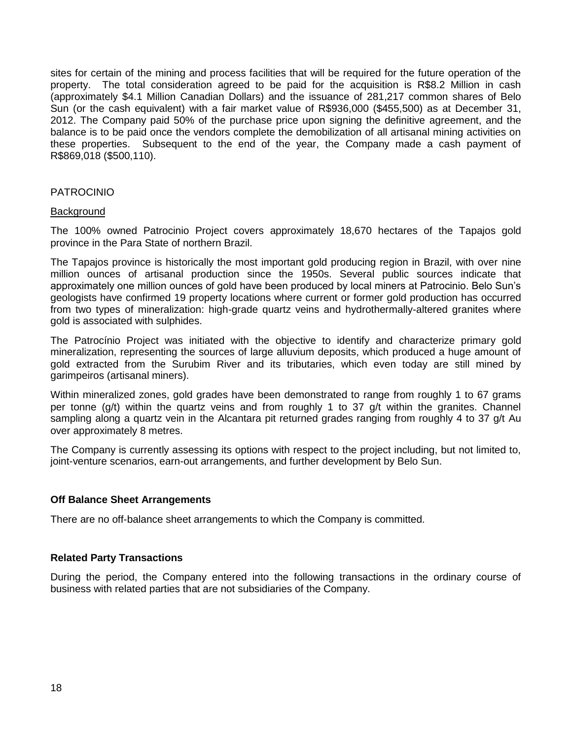sites for certain of the mining and process facilities that will be required for the future operation of the property. The total consideration agreed to be paid for the acquisition is R\$8.2 Million in cash (approximately \$4.1 Million Canadian Dollars) and the issuance of 281,217 common shares of Belo Sun (or the cash equivalent) with a fair market value of R\$936,000 (\$455,500) as at December 31, 2012. The Company paid 50% of the purchase price upon signing the definitive agreement, and the balance is to be paid once the vendors complete the demobilization of all artisanal mining activities on these properties. Subsequent to the end of the year, the Company made a cash payment of R\$869,018 (\$500,110).

# PATROCINIO

# **Background**

The 100% owned Patrocinio Project covers approximately 18,670 hectares of the Tapajos gold province in the Para State of northern Brazil.

The Tapajos province is historically the most important gold producing region in Brazil, with over nine million ounces of artisanal production since the 1950s. Several public sources indicate that approximately one million ounces of gold have been produced by local miners at Patrocinio. Belo Sun's geologists have confirmed 19 property locations where current or former gold production has occurred from two types of mineralization: high-grade quartz veins and hydrothermally-altered granites where gold is associated with sulphides.

The Patrocínio Project was initiated with the objective to identify and characterize primary gold mineralization, representing the sources of large alluvium deposits, which produced a huge amount of gold extracted from the Surubim River and its tributaries, which even today are still mined by garimpeiros (artisanal miners).

Within mineralized zones, gold grades have been demonstrated to range from roughly 1 to 67 grams per tonne (g/t) within the quartz veins and from roughly 1 to 37 g/t within the granites. Channel sampling along a quartz vein in the Alcantara pit returned grades ranging from roughly 4 to 37 g/t Au over approximately 8 metres.

The Company is currently assessing its options with respect to the project including, but not limited to, joint-venture scenarios, earn-out arrangements, and further development by Belo Sun.

# **Off Balance Sheet Arrangements**

There are no off-balance sheet arrangements to which the Company is committed.

## **Related Party Transactions**

During the period, the Company entered into the following transactions in the ordinary course of business with related parties that are not subsidiaries of the Company.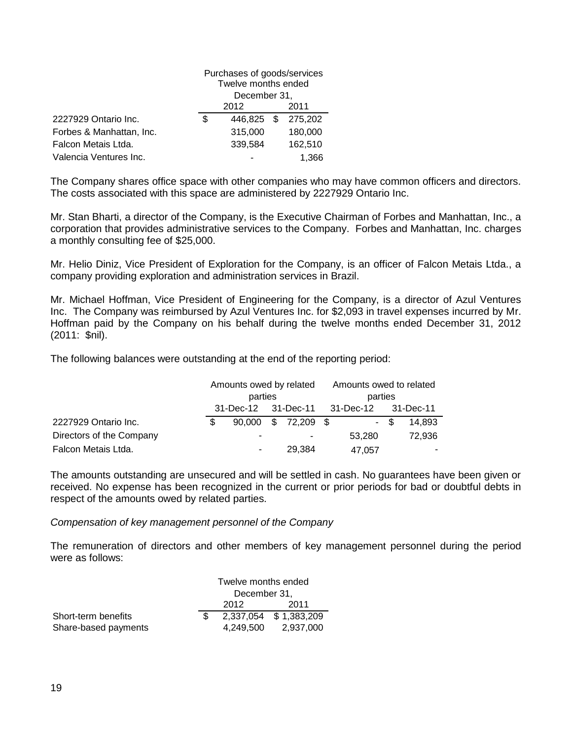|                          | Purchases of goods/services<br>Twelve months ended |            |  |         |
|--------------------------|----------------------------------------------------|------------|--|---------|
|                          | December 31,                                       |            |  |         |
|                          | 2012                                               |            |  | 2011    |
| 2227929 Ontario Inc.     | S                                                  | 446.825 \$ |  | 275,202 |
| Forbes & Manhattan, Inc. |                                                    | 315,000    |  | 180,000 |
| Falcon Metais Ltda.      |                                                    | 339,584    |  | 162,510 |
| Valencia Ventures Inc.   | 1.366                                              |            |  |         |

The Company shares office space with other companies who may have common officers and directors. The costs associated with this space are administered by 2227929 Ontario Inc.

Mr. Stan Bharti, a director of the Company, is the Executive Chairman of Forbes and Manhattan, Inc., a corporation that provides administrative services to the Company. Forbes and Manhattan, Inc. charges a monthly consulting fee of \$25,000.

Mr. Helio Diniz, Vice President of Exploration for the Company, is an officer of Falcon Metais Ltda., a company providing exploration and administration services in Brazil.

Mr. Michael Hoffman, Vice President of Engineering for the Company, is a director of Azul Ventures Inc. The Company was reimbursed by Azul Ventures Inc. for \$2,093 in travel expenses incurred by Mr. Hoffman paid by the Company on his behalf during the twelve months ended December 31, 2012 (2011: \$nil).

The following balances were outstanding at the end of the reporting period:

|                          | Amounts owed by related |         |  |                     | Amounts owed to related |        |      |        |
|--------------------------|-------------------------|---------|--|---------------------|-------------------------|--------|------|--------|
|                          |                         | parties |  |                     | parties                 |        |      |        |
|                          |                         |         |  |                     |                         |        |      |        |
| 2227929 Ontario Inc.     | £.                      |         |  | 90,000 \$ 72,209 \$ |                         |        | - \$ | 14,893 |
| Directors of the Company |                         | -       |  | ۰.                  |                         | 53.280 |      | 72,936 |
| Falcon Metais Ltda.      |                         | ۰       |  | 29,384              |                         | 47,057 |      |        |

The amounts outstanding are unsecured and will be settled in cash. No guarantees have been given or received. No expense has been recognized in the current or prior periods for bad or doubtful debts in respect of the amounts owed by related parties.

*Compensation of key management personnel of the Company*

The remuneration of directors and other members of key management personnel during the period were as follows:

|                      |  | Twelve months ended |                       |  |  |
|----------------------|--|---------------------|-----------------------|--|--|
|                      |  | December 31,        |                       |  |  |
|                      |  | 2011                |                       |  |  |
| Short-term benefits  |  |                     | 2,337,054 \$1,383,209 |  |  |
| Share-based payments |  |                     | 4,249,500 2,937,000   |  |  |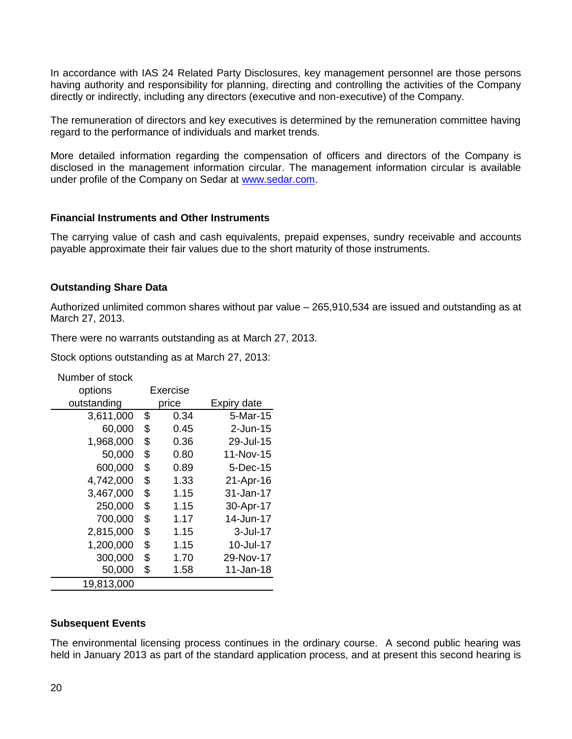In accordance with IAS 24 Related Party Disclosures, key management personnel are those persons having authority and responsibility for planning, directing and controlling the activities of the Company directly or indirectly, including any directors (executive and non-executive) of the Company.

The remuneration of directors and key executives is determined by the remuneration committee having regard to the performance of individuals and market trends.

More detailed information regarding the compensation of officers and directors of the Company is disclosed in the management information circular. The management information circular is available under profile of the Company on Sedar at [www.sedar.com.](http://www.sedar.com/)

# **Financial Instruments and Other Instruments**

The carrying value of cash and cash equivalents, prepaid expenses, sundry receivable and accounts payable approximate their fair values due to the short maturity of those instruments.

# **Outstanding Share Data**

Number of stock

Authorized unlimited common shares without par value – 265,910,534 are issued and outstanding as at March 27, 2013.

There were no warrants outstanding as at March 27, 2013.

Stock options outstanding as at March 27, 2013:

| inumber of study |          |       |             |
|------------------|----------|-------|-------------|
| options          | Exercise |       |             |
| outstanding      |          | price | Expiry date |
| 3,611,000        | \$       | 0.34  | 5-Mar-15    |
| 60,000           | \$       | 0.45  | 2-Jun-15    |
| 1,968,000        | \$       | 0.36  | 29-Jul-15   |
| 50,000           | \$       | 0.80  | 11-Nov-15   |
| 600,000          | \$       | 0.89  | 5-Dec-15    |
| 4,742,000        | \$       | 1.33  | 21-Apr-16   |
| 3,467,000        | \$       | 1.15  | 31-Jan-17   |
| 250,000          | \$       | 1.15  | 30-Apr-17   |
| 700,000          | \$       | 1.17  | 14-Jun-17   |
| 2,815,000        | \$       | 1.15  | 3-Jul-17    |
| 1,200,000        | \$       | 1.15  | 10-Jul-17   |
| 300,000          | \$       | 1.70  | 29-Nov-17   |
| 50,000           | \$       | 1.58  | 11-Jan-18   |
| 19,813,000       |          |       |             |

# **Subsequent Events**

The environmental licensing process continues in the ordinary course. A second public hearing was held in January 2013 as part of the standard application process, and at present this second hearing is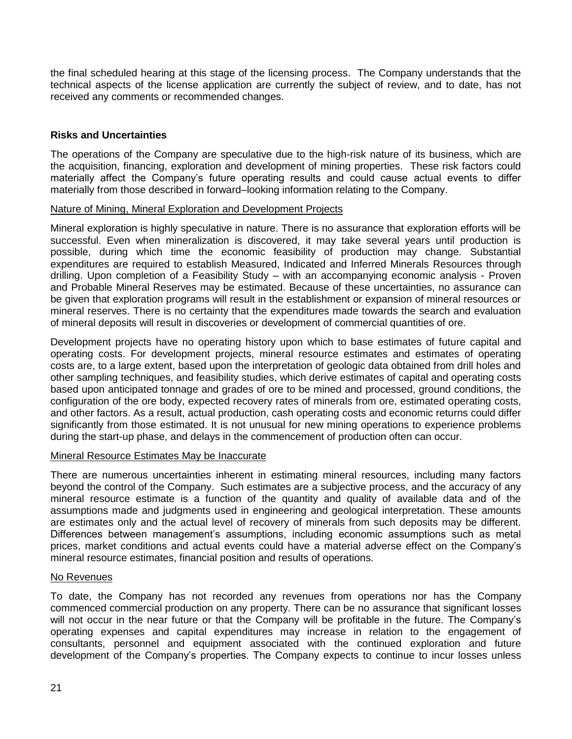the final scheduled hearing at this stage of the licensing process. The Company understands that the technical aspects of the license application are currently the subject of review, and to date, has not received any comments or recommended changes.

# **Risks and Uncertainties**

The operations of the Company are speculative due to the high-risk nature of its business, which are the acquisition, financing, exploration and development of mining properties. These risk factors could materially affect the Company's future operating results and could cause actual events to differ materially from those described in forward–looking information relating to the Company.

# Nature of Mining, Mineral Exploration and Development Projects

Mineral exploration is highly speculative in nature. There is no assurance that exploration efforts will be successful. Even when mineralization is discovered, it may take several years until production is possible, during which time the economic feasibility of production may change. Substantial expenditures are required to establish Measured, Indicated and Inferred Minerals Resources through drilling. Upon completion of a Feasibility Study – with an accompanying economic analysis - Proven and Probable Mineral Reserves may be estimated. Because of these uncertainties, no assurance can be given that exploration programs will result in the establishment or expansion of mineral resources or mineral reserves. There is no certainty that the expenditures made towards the search and evaluation of mineral deposits will result in discoveries or development of commercial quantities of ore.

Development projects have no operating history upon which to base estimates of future capital and operating costs. For development projects, mineral resource estimates and estimates of operating costs are, to a large extent, based upon the interpretation of geologic data obtained from drill holes and other sampling techniques, and feasibility studies, which derive estimates of capital and operating costs based upon anticipated tonnage and grades of ore to be mined and processed, ground conditions, the configuration of the ore body, expected recovery rates of minerals from ore, estimated operating costs, and other factors. As a result, actual production, cash operating costs and economic returns could differ significantly from those estimated. It is not unusual for new mining operations to experience problems during the start-up phase, and delays in the commencement of production often can occur.

# Mineral Resource Estimates May be Inaccurate

There are numerous uncertainties inherent in estimating mineral resources, including many factors beyond the control of the Company. Such estimates are a subjective process, and the accuracy of any mineral resource estimate is a function of the quantity and quality of available data and of the assumptions made and judgments used in engineering and geological interpretation. These amounts are estimates only and the actual level of recovery of minerals from such deposits may be different. Differences between management's assumptions, including economic assumptions such as metal prices, market conditions and actual events could have a material adverse effect on the Company's mineral resource estimates, financial position and results of operations.

## No Revenues

To date, the Company has not recorded any revenues from operations nor has the Company commenced commercial production on any property. There can be no assurance that significant losses will not occur in the near future or that the Company will be profitable in the future. The Company's operating expenses and capital expenditures may increase in relation to the engagement of consultants, personnel and equipment associated with the continued exploration and future development of the Company's properties. The Company expects to continue to incur losses unless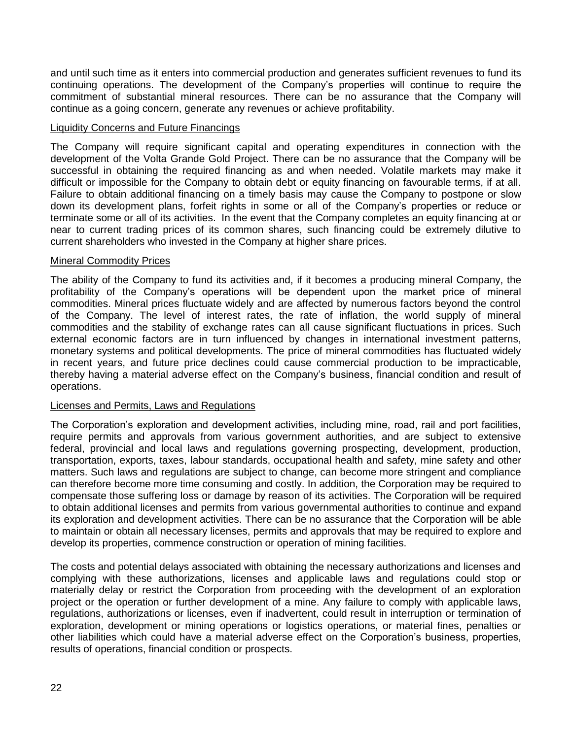and until such time as it enters into commercial production and generates sufficient revenues to fund its continuing operations. The development of the Company's properties will continue to require the commitment of substantial mineral resources. There can be no assurance that the Company will continue as a going concern, generate any revenues or achieve profitability.

# Liquidity Concerns and Future Financings

The Company will require significant capital and operating expenditures in connection with the development of the Volta Grande Gold Project. There can be no assurance that the Company will be successful in obtaining the required financing as and when needed. Volatile markets may make it difficult or impossible for the Company to obtain debt or equity financing on favourable terms, if at all. Failure to obtain additional financing on a timely basis may cause the Company to postpone or slow down its development plans, forfeit rights in some or all of the Company's properties or reduce or terminate some or all of its activities. In the event that the Company completes an equity financing at or near to current trading prices of its common shares, such financing could be extremely dilutive to current shareholders who invested in the Company at higher share prices.

# Mineral Commodity Prices

The ability of the Company to fund its activities and, if it becomes a producing mineral Company, the profitability of the Company's operations will be dependent upon the market price of mineral commodities. Mineral prices fluctuate widely and are affected by numerous factors beyond the control of the Company. The level of interest rates, the rate of inflation, the world supply of mineral commodities and the stability of exchange rates can all cause significant fluctuations in prices. Such external economic factors are in turn influenced by changes in international investment patterns, monetary systems and political developments. The price of mineral commodities has fluctuated widely in recent years, and future price declines could cause commercial production to be impracticable, thereby having a material adverse effect on the Company's business, financial condition and result of operations.

## Licenses and Permits, Laws and Regulations

The Corporation's exploration and development activities, including mine, road, rail and port facilities, require permits and approvals from various government authorities, and are subject to extensive federal, provincial and local laws and regulations governing prospecting, development, production, transportation, exports, taxes, labour standards, occupational health and safety, mine safety and other matters. Such laws and regulations are subject to change, can become more stringent and compliance can therefore become more time consuming and costly. In addition, the Corporation may be required to compensate those suffering loss or damage by reason of its activities. The Corporation will be required to obtain additional licenses and permits from various governmental authorities to continue and expand its exploration and development activities. There can be no assurance that the Corporation will be able to maintain or obtain all necessary licenses, permits and approvals that may be required to explore and develop its properties, commence construction or operation of mining facilities.

The costs and potential delays associated with obtaining the necessary authorizations and licenses and complying with these authorizations, licenses and applicable laws and regulations could stop or materially delay or restrict the Corporation from proceeding with the development of an exploration project or the operation or further development of a mine. Any failure to comply with applicable laws, regulations, authorizations or licenses, even if inadvertent, could result in interruption or termination of exploration, development or mining operations or logistics operations, or material fines, penalties or other liabilities which could have a material adverse effect on the Corporation's business, properties, results of operations, financial condition or prospects.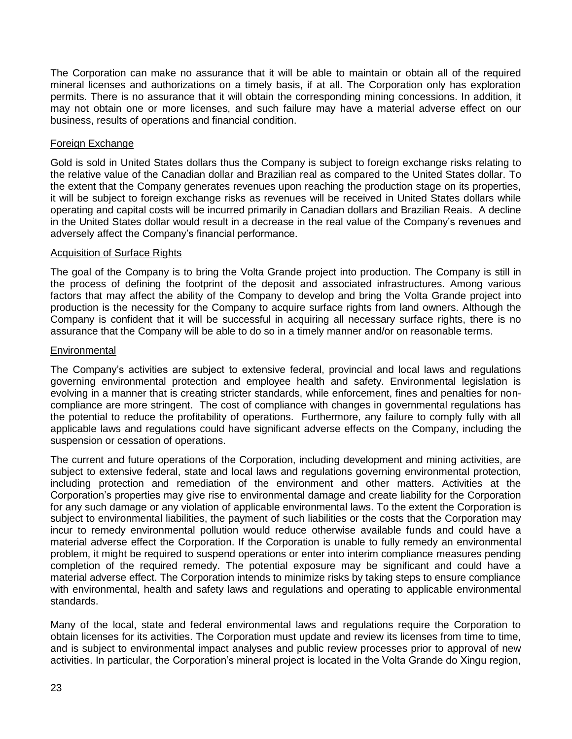The Corporation can make no assurance that it will be able to maintain or obtain all of the required mineral licenses and authorizations on a timely basis, if at all. The Corporation only has exploration permits. There is no assurance that it will obtain the corresponding mining concessions. In addition, it may not obtain one or more licenses, and such failure may have a material adverse effect on our business, results of operations and financial condition.

# Foreign Exchange

Gold is sold in United States dollars thus the Company is subject to foreign exchange risks relating to the relative value of the Canadian dollar and Brazilian real as compared to the United States dollar. To the extent that the Company generates revenues upon reaching the production stage on its properties, it will be subject to foreign exchange risks as revenues will be received in United States dollars while operating and capital costs will be incurred primarily in Canadian dollars and Brazilian Reais. A decline in the United States dollar would result in a decrease in the real value of the Company's revenues and adversely affect the Company's financial performance.

# Acquisition of Surface Rights

The goal of the Company is to bring the Volta Grande project into production. The Company is still in the process of defining the footprint of the deposit and associated infrastructures. Among various factors that may affect the ability of the Company to develop and bring the Volta Grande project into production is the necessity for the Company to acquire surface rights from land owners. Although the Company is confident that it will be successful in acquiring all necessary surface rights, there is no assurance that the Company will be able to do so in a timely manner and/or on reasonable terms.

# **Environmental**

The Company's activities are subject to extensive federal, provincial and local laws and regulations governing environmental protection and employee health and safety. Environmental legislation is evolving in a manner that is creating stricter standards, while enforcement, fines and penalties for noncompliance are more stringent. The cost of compliance with changes in governmental regulations has the potential to reduce the profitability of operations. Furthermore, any failure to comply fully with all applicable laws and regulations could have significant adverse effects on the Company, including the suspension or cessation of operations.

The current and future operations of the Corporation, including development and mining activities, are subject to extensive federal, state and local laws and regulations governing environmental protection, including protection and remediation of the environment and other matters. Activities at the Corporation's properties may give rise to environmental damage and create liability for the Corporation for any such damage or any violation of applicable environmental laws. To the extent the Corporation is subject to environmental liabilities, the payment of such liabilities or the costs that the Corporation may incur to remedy environmental pollution would reduce otherwise available funds and could have a material adverse effect the Corporation. If the Corporation is unable to fully remedy an environmental problem, it might be required to suspend operations or enter into interim compliance measures pending completion of the required remedy. The potential exposure may be significant and could have a material adverse effect. The Corporation intends to minimize risks by taking steps to ensure compliance with environmental, health and safety laws and regulations and operating to applicable environmental standards.

Many of the local, state and federal environmental laws and regulations require the Corporation to obtain licenses for its activities. The Corporation must update and review its licenses from time to time, and is subject to environmental impact analyses and public review processes prior to approval of new activities. In particular, the Corporation's mineral project is located in the Volta Grande do Xingu region,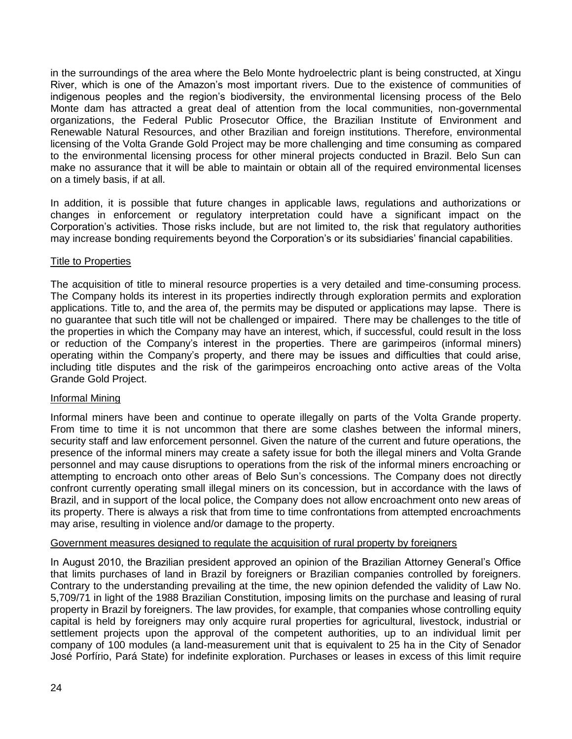in the surroundings of the area where the Belo Monte hydroelectric plant is being constructed, at Xingu River, which is one of the Amazon's most important rivers. Due to the existence of communities of indigenous peoples and the region's biodiversity, the environmental licensing process of the Belo Monte dam has attracted a great deal of attention from the local communities, non-governmental organizations, the Federal Public Prosecutor Office, the Brazilian Institute of Environment and Renewable Natural Resources, and other Brazilian and foreign institutions. Therefore, environmental licensing of the Volta Grande Gold Project may be more challenging and time consuming as compared to the environmental licensing process for other mineral projects conducted in Brazil. Belo Sun can make no assurance that it will be able to maintain or obtain all of the required environmental licenses on a timely basis, if at all.

In addition, it is possible that future changes in applicable laws, regulations and authorizations or changes in enforcement or regulatory interpretation could have a significant impact on the Corporation's activities. Those risks include, but are not limited to, the risk that regulatory authorities may increase bonding requirements beyond the Corporation's or its subsidiaries' financial capabilities.

# **Title to Properties**

The acquisition of title to mineral resource properties is a very detailed and time-consuming process. The Company holds its interest in its properties indirectly through exploration permits and exploration applications. Title to, and the area of, the permits may be disputed or applications may lapse. There is no guarantee that such title will not be challenged or impaired. There may be challenges to the title of the properties in which the Company may have an interest, which, if successful, could result in the loss or reduction of the Company's interest in the properties. There are garimpeiros (informal miners) operating within the Company's property, and there may be issues and difficulties that could arise, including title disputes and the risk of the garimpeiros encroaching onto active areas of the Volta Grande Gold Project.

# Informal Mining

Informal miners have been and continue to operate illegally on parts of the Volta Grande property. From time to time it is not uncommon that there are some clashes between the informal miners, security staff and law enforcement personnel. Given the nature of the current and future operations, the presence of the informal miners may create a safety issue for both the illegal miners and Volta Grande personnel and may cause disruptions to operations from the risk of the informal miners encroaching or attempting to encroach onto other areas of Belo Sun's concessions. The Company does not directly confront currently operating small illegal miners on its concession, but in accordance with the laws of Brazil, and in support of the local police, the Company does not allow encroachment onto new areas of its property. There is always a risk that from time to time confrontations from attempted encroachments may arise, resulting in violence and/or damage to the property.

# Government measures designed to regulate the acquisition of rural property by foreigners

In August 2010, the Brazilian president approved an opinion of the Brazilian Attorney General's Office that limits purchases of land in Brazil by foreigners or Brazilian companies controlled by foreigners. Contrary to the understanding prevailing at the time, the new opinion defended the validity of Law No. 5,709/71 in light of the 1988 Brazilian Constitution, imposing limits on the purchase and leasing of rural property in Brazil by foreigners. The law provides, for example, that companies whose controlling equity capital is held by foreigners may only acquire rural properties for agricultural, livestock, industrial or settlement projects upon the approval of the competent authorities, up to an individual limit per company of 100 modules (a land-measurement unit that is equivalent to 25 ha in the City of Senador José Porfírio, Pará State) for indefinite exploration. Purchases or leases in excess of this limit require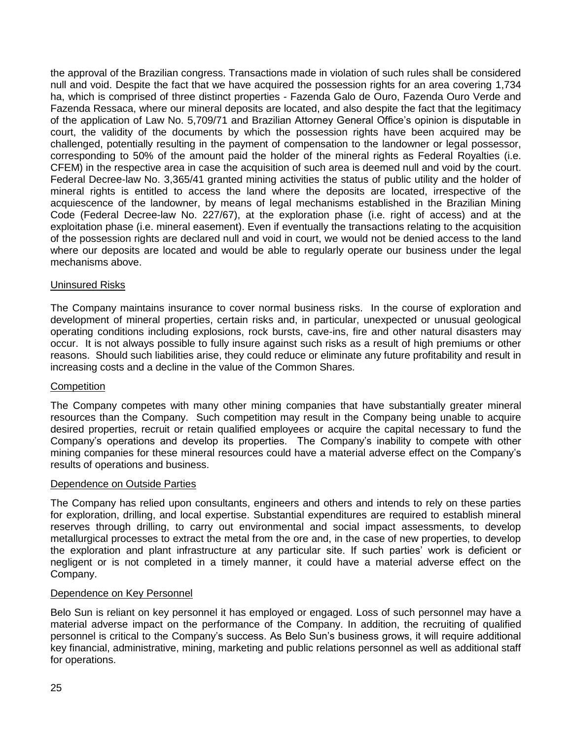the approval of the Brazilian congress. Transactions made in violation of such rules shall be considered null and void. Despite the fact that we have acquired the possession rights for an area covering 1,734 ha, which is comprised of three distinct properties - Fazenda Galo de Ouro, Fazenda Ouro Verde and Fazenda Ressaca, where our mineral deposits are located, and also despite the fact that the legitimacy of the application of Law No. 5,709/71 and Brazilian Attorney General Office's opinion is disputable in court, the validity of the documents by which the possession rights have been acquired may be challenged, potentially resulting in the payment of compensation to the landowner or legal possessor, corresponding to 50% of the amount paid the holder of the mineral rights as Federal Royalties (i.e. CFEM) in the respective area in case the acquisition of such area is deemed null and void by the court. Federal Decree-law No. 3,365/41 granted mining activities the status of public utility and the holder of mineral rights is entitled to access the land where the deposits are located, irrespective of the acquiescence of the landowner, by means of legal mechanisms established in the Brazilian Mining Code (Federal Decree-law No. 227/67), at the exploration phase (i.e. right of access) and at the exploitation phase (i.e. mineral easement). Even if eventually the transactions relating to the acquisition of the possession rights are declared null and void in court, we would not be denied access to the land where our deposits are located and would be able to regularly operate our business under the legal mechanisms above.

# Uninsured Risks

The Company maintains insurance to cover normal business risks. In the course of exploration and development of mineral properties, certain risks and, in particular, unexpected or unusual geological operating conditions including explosions, rock bursts, cave-ins, fire and other natural disasters may occur. It is not always possible to fully insure against such risks as a result of high premiums or other reasons. Should such liabilities arise, they could reduce or eliminate any future profitability and result in increasing costs and a decline in the value of the Common Shares.

## **Competition**

The Company competes with many other mining companies that have substantially greater mineral resources than the Company. Such competition may result in the Company being unable to acquire desired properties, recruit or retain qualified employees or acquire the capital necessary to fund the Company's operations and develop its properties. The Company's inability to compete with other mining companies for these mineral resources could have a material adverse effect on the Company's results of operations and business.

# Dependence on Outside Parties

The Company has relied upon consultants, engineers and others and intends to rely on these parties for exploration, drilling, and local expertise. Substantial expenditures are required to establish mineral reserves through drilling, to carry out environmental and social impact assessments, to develop metallurgical processes to extract the metal from the ore and, in the case of new properties, to develop the exploration and plant infrastructure at any particular site. If such parties' work is deficient or negligent or is not completed in a timely manner, it could have a material adverse effect on the Company.

## Dependence on Key Personnel

Belo Sun is reliant on key personnel it has employed or engaged. Loss of such personnel may have a material adverse impact on the performance of the Company. In addition, the recruiting of qualified personnel is critical to the Company's success. As Belo Sun's business grows, it will require additional key financial, administrative, mining, marketing and public relations personnel as well as additional staff for operations.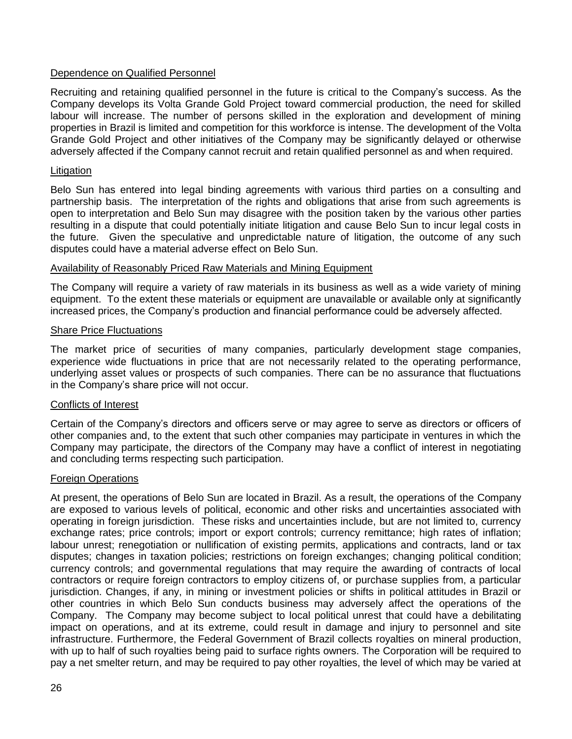# Dependence on Qualified Personnel

Recruiting and retaining qualified personnel in the future is critical to the Company's success. As the Company develops its Volta Grande Gold Project toward commercial production, the need for skilled labour will increase. The number of persons skilled in the exploration and development of mining properties in Brazil is limited and competition for this workforce is intense. The development of the Volta Grande Gold Project and other initiatives of the Company may be significantly delayed or otherwise adversely affected if the Company cannot recruit and retain qualified personnel as and when required.

# **Litigation**

Belo Sun has entered into legal binding agreements with various third parties on a consulting and partnership basis. The interpretation of the rights and obligations that arise from such agreements is open to interpretation and Belo Sun may disagree with the position taken by the various other parties resulting in a dispute that could potentially initiate litigation and cause Belo Sun to incur legal costs in the future. Given the speculative and unpredictable nature of litigation, the outcome of any such disputes could have a material adverse effect on Belo Sun.

# Availability of Reasonably Priced Raw Materials and Mining Equipment

The Company will require a variety of raw materials in its business as well as a wide variety of mining equipment. To the extent these materials or equipment are unavailable or available only at significantly increased prices, the Company's production and financial performance could be adversely affected.

# **Share Price Fluctuations**

The market price of securities of many companies, particularly development stage companies, experience wide fluctuations in price that are not necessarily related to the operating performance, underlying asset values or prospects of such companies. There can be no assurance that fluctuations in the Company's share price will not occur.

# Conflicts of Interest

Certain of the Company's directors and officers serve or may agree to serve as directors or officers of other companies and, to the extent that such other companies may participate in ventures in which the Company may participate, the directors of the Company may have a conflict of interest in negotiating and concluding terms respecting such participation.

## Foreign Operations

At present, the operations of Belo Sun are located in Brazil. As a result, the operations of the Company are exposed to various levels of political, economic and other risks and uncertainties associated with operating in foreign jurisdiction. These risks and uncertainties include, but are not limited to, currency exchange rates; price controls; import or export controls; currency remittance; high rates of inflation; labour unrest; renegotiation or nullification of existing permits, applications and contracts, land or tax disputes; changes in taxation policies; restrictions on foreign exchanges; changing political condition; currency controls; and governmental regulations that may require the awarding of contracts of local contractors or require foreign contractors to employ citizens of, or purchase supplies from, a particular jurisdiction. Changes, if any, in mining or investment policies or shifts in political attitudes in Brazil or other countries in which Belo Sun conducts business may adversely affect the operations of the Company. The Company may become subject to local political unrest that could have a debilitating impact on operations, and at its extreme, could result in damage and injury to personnel and site infrastructure. Furthermore, the Federal Government of Brazil collects royalties on mineral production, with up to half of such royalties being paid to surface rights owners. The Corporation will be required to pay a net smelter return, and may be required to pay other royalties, the level of which may be varied at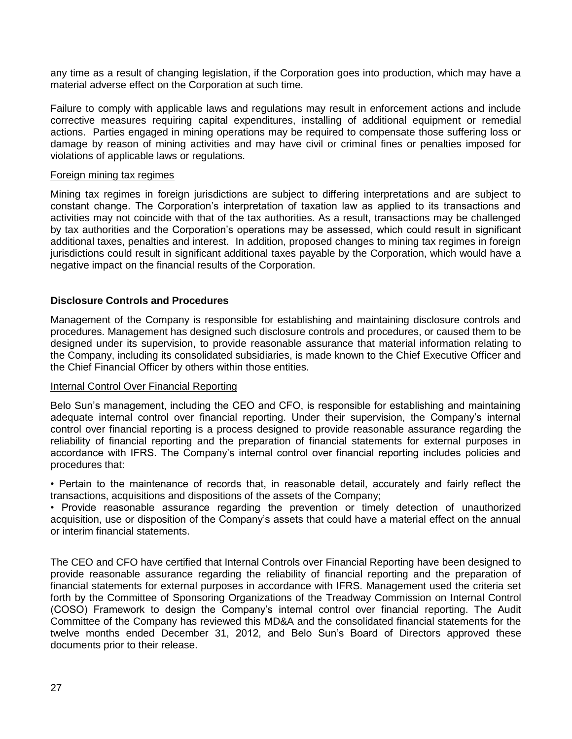any time as a result of changing legislation, if the Corporation goes into production, which may have a material adverse effect on the Corporation at such time.

Failure to comply with applicable laws and regulations may result in enforcement actions and include corrective measures requiring capital expenditures, installing of additional equipment or remedial actions. Parties engaged in mining operations may be required to compensate those suffering loss or damage by reason of mining activities and may have civil or criminal fines or penalties imposed for violations of applicable laws or regulations.

#### Foreign mining tax regimes

Mining tax regimes in foreign jurisdictions are subject to differing interpretations and are subject to constant change. The Corporation's interpretation of taxation law as applied to its transactions and activities may not coincide with that of the tax authorities. As a result, transactions may be challenged by tax authorities and the Corporation's operations may be assessed, which could result in significant additional taxes, penalties and interest. In addition, proposed changes to mining tax regimes in foreign jurisdictions could result in significant additional taxes payable by the Corporation, which would have a negative impact on the financial results of the Corporation.

# **Disclosure Controls and Procedures**

Management of the Company is responsible for establishing and maintaining disclosure controls and procedures. Management has designed such disclosure controls and procedures, or caused them to be designed under its supervision, to provide reasonable assurance that material information relating to the Company, including its consolidated subsidiaries, is made known to the Chief Executive Officer and the Chief Financial Officer by others within those entities.

## Internal Control Over Financial Reporting

Belo Sun's management, including the CEO and CFO, is responsible for establishing and maintaining adequate internal control over financial reporting. Under their supervision, the Company's internal control over financial reporting is a process designed to provide reasonable assurance regarding the reliability of financial reporting and the preparation of financial statements for external purposes in accordance with IFRS. The Company's internal control over financial reporting includes policies and procedures that:

• Pertain to the maintenance of records that, in reasonable detail, accurately and fairly reflect the transactions, acquisitions and dispositions of the assets of the Company;

• Provide reasonable assurance regarding the prevention or timely detection of unauthorized acquisition, use or disposition of the Company's assets that could have a material effect on the annual or interim financial statements.

The CEO and CFO have certified that Internal Controls over Financial Reporting have been designed to provide reasonable assurance regarding the reliability of financial reporting and the preparation of financial statements for external purposes in accordance with IFRS. Management used the criteria set forth by the Committee of Sponsoring Organizations of the Treadway Commission on Internal Control (COSO) Framework to design the Company's internal control over financial reporting. The Audit Committee of the Company has reviewed this MD&A and the consolidated financial statements for the twelve months ended December 31, 2012, and Belo Sun's Board of Directors approved these documents prior to their release.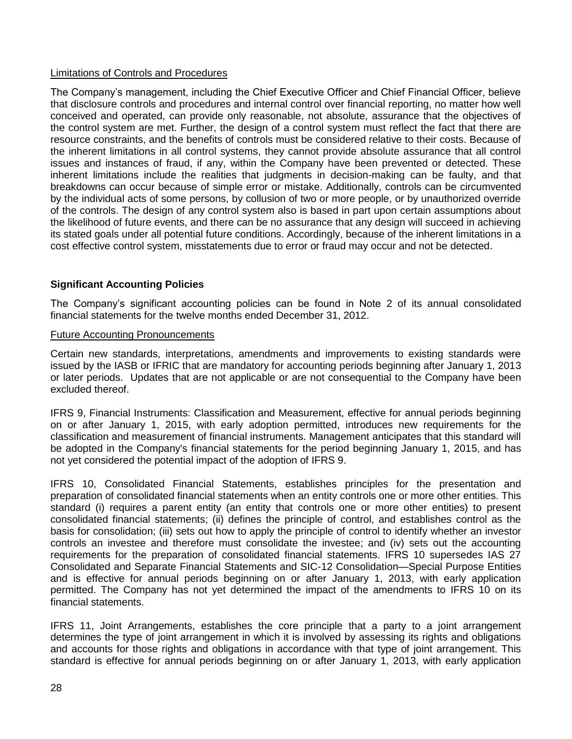# Limitations of Controls and Procedures

The Company's management, including the Chief Executive Officer and Chief Financial Officer, believe that disclosure controls and procedures and internal control over financial reporting, no matter how well conceived and operated, can provide only reasonable, not absolute, assurance that the objectives of the control system are met. Further, the design of a control system must reflect the fact that there are resource constraints, and the benefits of controls must be considered relative to their costs. Because of the inherent limitations in all control systems, they cannot provide absolute assurance that all control issues and instances of fraud, if any, within the Company have been prevented or detected. These inherent limitations include the realities that judgments in decision-making can be faulty, and that breakdowns can occur because of simple error or mistake. Additionally, controls can be circumvented by the individual acts of some persons, by collusion of two or more people, or by unauthorized override of the controls. The design of any control system also is based in part upon certain assumptions about the likelihood of future events, and there can be no assurance that any design will succeed in achieving its stated goals under all potential future conditions. Accordingly, because of the inherent limitations in a cost effective control system, misstatements due to error or fraud may occur and not be detected.

# **Significant Accounting Policies**

The Company's significant accounting policies can be found in Note 2 of its annual consolidated financial statements for the twelve months ended December 31, 2012.

# Future Accounting Pronouncements

Certain new standards, interpretations, amendments and improvements to existing standards were issued by the IASB or IFRIC that are mandatory for accounting periods beginning after January 1, 2013 or later periods. Updates that are not applicable or are not consequential to the Company have been excluded thereof.

IFRS 9, Financial Instruments: Classification and Measurement, effective for annual periods beginning on or after January 1, 2015, with early adoption permitted, introduces new requirements for the classification and measurement of financial instruments. Management anticipates that this standard will be adopted in the Company's financial statements for the period beginning January 1, 2015, and has not yet considered the potential impact of the adoption of IFRS 9.

IFRS 10, Consolidated Financial Statements, establishes principles for the presentation and preparation of consolidated financial statements when an entity controls one or more other entities. This standard (i) requires a parent entity (an entity that controls one or more other entities) to present consolidated financial statements; (ii) defines the principle of control, and establishes control as the basis for consolidation; (iii) sets out how to apply the principle of control to identify whether an investor controls an investee and therefore must consolidate the investee; and (iv) sets out the accounting requirements for the preparation of consolidated financial statements. IFRS 10 supersedes IAS 27 Consolidated and Separate Financial Statements and SIC-12 Consolidation—Special Purpose Entities and is effective for annual periods beginning on or after January 1, 2013, with early application permitted. The Company has not yet determined the impact of the amendments to IFRS 10 on its financial statements.

IFRS 11, Joint Arrangements, establishes the core principle that a party to a joint arrangement determines the type of joint arrangement in which it is involved by assessing its rights and obligations and accounts for those rights and obligations in accordance with that type of joint arrangement. This standard is effective for annual periods beginning on or after January 1, 2013, with early application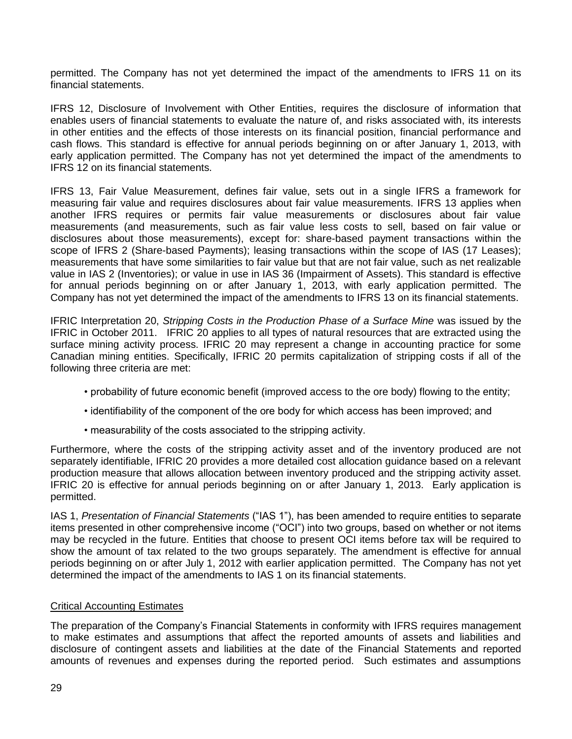permitted. The Company has not yet determined the impact of the amendments to IFRS 11 on its financial statements.

IFRS 12, Disclosure of Involvement with Other Entities, requires the disclosure of information that enables users of financial statements to evaluate the nature of, and risks associated with, its interests in other entities and the effects of those interests on its financial position, financial performance and cash flows. This standard is effective for annual periods beginning on or after January 1, 2013, with early application permitted. The Company has not yet determined the impact of the amendments to IFRS 12 on its financial statements.

IFRS 13, Fair Value Measurement, defines fair value, sets out in a single IFRS a framework for measuring fair value and requires disclosures about fair value measurements. IFRS 13 applies when another IFRS requires or permits fair value measurements or disclosures about fair value measurements (and measurements, such as fair value less costs to sell, based on fair value or disclosures about those measurements), except for: share-based payment transactions within the scope of IFRS 2 (Share-based Payments); leasing transactions within the scope of IAS (17 Leases); measurements that have some similarities to fair value but that are not fair value, such as net realizable value in IAS 2 (Inventories); or value in use in IAS 36 (Impairment of Assets). This standard is effective for annual periods beginning on or after January 1, 2013, with early application permitted. The Company has not yet determined the impact of the amendments to IFRS 13 on its financial statements.

IFRIC Interpretation 20, *Stripping Costs in the Production Phase of a Surface Mine* was issued by the IFRIC in October 2011. IFRIC 20 applies to all types of natural resources that are extracted using the surface mining activity process. IFRIC 20 may represent a change in accounting practice for some Canadian mining entities. Specifically, IFRIC 20 permits capitalization of stripping costs if all of the following three criteria are met:

- probability of future economic benefit (improved access to the ore body) flowing to the entity;
- identifiability of the component of the ore body for which access has been improved; and
- measurability of the costs associated to the stripping activity.

Furthermore, where the costs of the stripping activity asset and of the inventory produced are not separately identifiable, IFRIC 20 provides a more detailed cost allocation guidance based on a relevant production measure that allows allocation between inventory produced and the stripping activity asset. IFRIC 20 is effective for annual periods beginning on or after January 1, 2013. Early application is permitted.

IAS 1, *Presentation of Financial Statements* ("IAS 1"), has been amended to require entities to separate items presented in other comprehensive income ("OCI") into two groups, based on whether or not items may be recycled in the future. Entities that choose to present OCI items before tax will be required to show the amount of tax related to the two groups separately. The amendment is effective for annual periods beginning on or after July 1, 2012 with earlier application permitted. The Company has not yet determined the impact of the amendments to IAS 1 on its financial statements.

## Critical Accounting Estimates

The preparation of the Company's Financial Statements in conformity with IFRS requires management to make estimates and assumptions that affect the reported amounts of assets and liabilities and disclosure of contingent assets and liabilities at the date of the Financial Statements and reported amounts of revenues and expenses during the reported period. Such estimates and assumptions